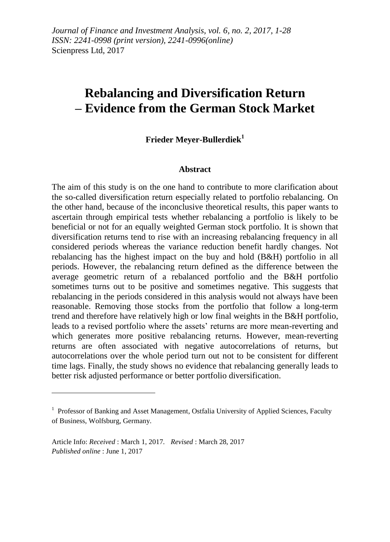# **Rebalancing and Diversification Return – Evidence from the German Stock Market**

### **Frieder Meyer-Bullerdiek<sup>1</sup>**

#### **Abstract**

The aim of this study is on the one hand to contribute to more clarification about the so-called diversification return especially related to portfolio rebalancing. On the other hand, because of the inconclusive theoretical results, this paper wants to ascertain through empirical tests whether rebalancing a portfolio is likely to be beneficial or not for an equally weighted German stock portfolio. It is shown that diversification returns tend to rise with an increasing rebalancing frequency in all considered periods whereas the variance reduction benefit hardly changes. Not rebalancing has the highest impact on the buy and hold (B&H) portfolio in all periods. However, the rebalancing return defined as the difference between the average geometric return of a rebalanced portfolio and the B&H portfolio sometimes turns out to be positive and sometimes negative. This suggests that rebalancing in the periods considered in this analysis would not always have been reasonable. Removing those stocks from the portfolio that follow a long-term trend and therefore have relatively high or low final weights in the B&H portfolio, leads to a revised portfolio where the assets' returns are more mean-reverting and which generates more positive rebalancing returns. However, mean-reverting returns are often associated with negative autocorrelations of returns, but autocorrelations over the whole period turn out not to be consistent for different time lags. Finally, the study shows no evidence that rebalancing generally leads to better risk adjusted performance or better portfolio diversification.

1

<sup>&</sup>lt;sup>1</sup> Professor of Banking and Asset Management, Ostfalia University of Applied Sciences, Faculty of Business, Wolfsburg, Germany.

Article Info: *Received* : March 1, 2017*. Revised* : March 28, 2017 *Published online* : June 1, 2017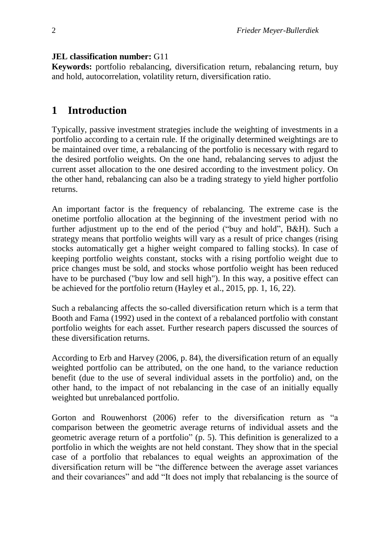#### **JEL classification number:** G11

**Keywords:** portfolio rebalancing, diversification return, rebalancing return, buy and hold, autocorrelation, volatility return, diversification ratio.

### **1 Introduction**

Typically, passive investment strategies include the weighting of investments in a portfolio according to a certain rule. If the originally determined weightings are to be maintained over time, a rebalancing of the portfolio is necessary with regard to the desired portfolio weights. On the one hand, rebalancing serves to adjust the current asset allocation to the one desired according to the investment policy. On the other hand, rebalancing can also be a trading strategy to yield higher portfolio returns.

An important factor is the frequency of rebalancing. The extreme case is the onetime portfolio allocation at the beginning of the investment period with no further adjustment up to the end of the period ("buy and hold", B&H). Such a strategy means that portfolio weights will vary as a result of price changes (rising stocks automatically get a higher weight compared to falling stocks). In case of keeping portfolio weights constant, stocks with a rising portfolio weight due to price changes must be sold, and stocks whose portfolio weight has been reduced have to be purchased ("buy low and sell high"). In this way, a positive effect can be achieved for the portfolio return (Hayley et al., 2015, pp. 1, 16, 22).

Such a rebalancing affects the so-called diversification return which is a term that Booth and Fama (1992) used in the context of a rebalanced portfolio with constant portfolio weights for each asset. Further research papers discussed the sources of these diversification returns.

According to Erb and Harvey (2006, p. 84), the diversification return of an equally weighted portfolio can be attributed, on the one hand, to the variance reduction benefit (due to the use of several individual assets in the portfolio) and, on the other hand, to the impact of not rebalancing in the case of an initially equally weighted but unrebalanced portfolio.

Gorton and Rouwenhorst (2006) refer to the diversification return as "a comparison between the geometric average returns of individual assets and the geometric average return of a portfolio" (p. 5). This definition is generalized to a portfolio in which the weights are not held constant. They show that in the special case of a portfolio that rebalances to equal weights an approximation of the diversification return will be "the difference between the average asset variances and their covariances" and add "It does not imply that rebalancing is the source of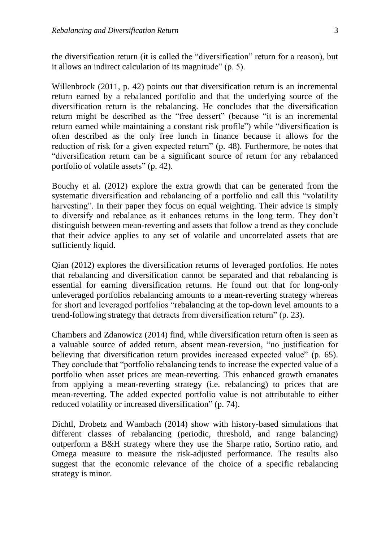the diversification return (it is called the "diversification" return for a reason), but it allows an indirect calculation of its magnitude" (p. 5).

Willenbrock (2011, p. 42) points out that diversification return is an incremental return earned by a rebalanced portfolio and that the underlying source of the diversification return is the rebalancing. He concludes that the diversification return might be described as the "free dessert" (because "it is an incremental return earned while maintaining a constant risk profile") while "diversification is often described as the only free lunch in finance because it allows for the reduction of risk for a given expected return" (p. 48). Furthermore, he notes that "diversification return can be a significant source of return for any rebalanced portfolio of volatile assets" (p. 42).

Bouchy et al. (2012) explore the extra growth that can be generated from the systematic diversification and rebalancing of a portfolio and call this "volatility harvesting". In their paper they focus on equal weighting. Their advice is simply to diversify and rebalance as it enhances returns in the long term. They don't distinguish between mean-reverting and assets that follow a trend as they conclude that their advice applies to any set of volatile and uncorrelated assets that are sufficiently liquid.

Qian (2012) explores the diversification returns of leveraged portfolios. He notes that rebalancing and diversification cannot be separated and that rebalancing is essential for earning diversification returns. He found out that for long-only unleveraged portfolios rebalancing amounts to a mean-reverting strategy whereas for short and leveraged portfolios "rebalancing at the top-down level amounts to a trend-following strategy that detracts from diversification return" (p. 23).

Chambers and Zdanowicz (2014) find, while diversification return often is seen as a valuable source of added return, absent mean-reversion, "no justification for believing that diversification return provides increased expected value" (p. 65). They conclude that "portfolio rebalancing tends to increase the expected value of a portfolio when asset prices are mean-reverting. This enhanced growth emanates from applying a mean-reverting strategy (i.e. rebalancing) to prices that are mean-reverting. The added expected portfolio value is not attributable to either reduced volatility or increased diversification" (p. 74).

Dichtl, Drobetz and Wambach (2014) show with history-based simulations that different classes of rebalancing (periodic, threshold, and range balancing) outperform a B&H strategy where they use the Sharpe ratio, Sortino ratio, and Omega measure to measure the risk-adjusted performance. The results also suggest that the economic relevance of the choice of a specific rebalancing strategy is minor.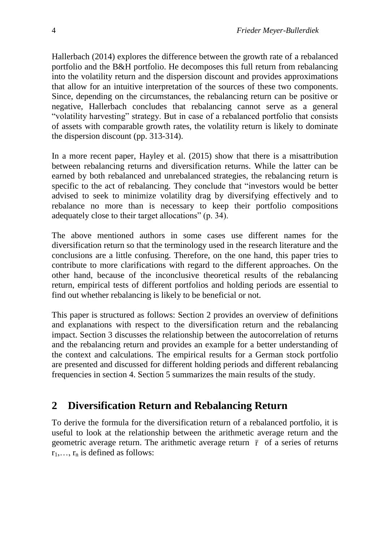Hallerbach (2014) explores the difference between the growth rate of a rebalanced portfolio and the B&H portfolio. He decomposes this full return from rebalancing into the volatility return and the dispersion discount and provides approximations that allow for an intuitive interpretation of the sources of these two components. Since, depending on the circumstances, the rebalancing return can be positive or negative, Hallerbach concludes that rebalancing cannot serve as a general "volatility harvesting" strategy. But in case of a rebalanced portfolio that consists of assets with comparable growth rates, the volatility return is likely to dominate the dispersion discount (pp. 313-314).

In a more recent paper, Hayley et al. (2015) show that there is a misattribution between rebalancing returns and diversification returns. While the latter can be earned by both rebalanced and unrebalanced strategies, the rebalancing return is specific to the act of rebalancing. They conclude that "investors would be better advised to seek to minimize volatility drag by diversifying effectively and to rebalance no more than is necessary to keep their portfolio compositions adequately close to their target allocations" (p. 34).

The above mentioned authors in some cases use different names for the diversification return so that the terminology used in the research literature and the conclusions are a little confusing. Therefore, on the one hand, this paper tries to contribute to more clarifications with regard to the different approaches. On the other hand, because of the inconclusive theoretical results of the rebalancing return, empirical tests of different portfolios and holding periods are essential to find out whether rebalancing is likely to be beneficial or not.

This paper is structured as follows: Section 2 provides an overview of definitions and explanations with respect to the diversification return and the rebalancing impact. Section 3 discusses the relationship between the autocorrelation of returns and the rebalancing return and provides an example for a better understanding of the context and calculations. The empirical results for a German stock portfolio are presented and discussed for different holding periods and different rebalancing frequencies in section 4. Section 5 summarizes the main results of the study.

## **2 Diversification Return and Rebalancing Return**

To derive the formula for the diversification return of a rebalanced portfolio, it is useful to look at the relationship between the arithmetic average return and the geometric average return. The arithmetic average return  $\bar{r}$  of a series of returns  $r_1, \ldots, r_n$  is defined as follows: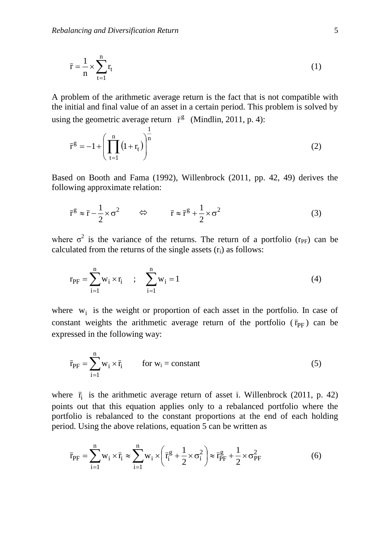$$
\bar{\mathbf{r}} = \frac{1}{n} \times \sum_{t=1}^{n} \mathbf{r}_t
$$
\n(1)

A problem of the arithmetic average return is the fact that is not compatible with the initial and final value of an asset in a certain period. This problem is solved by using the geometric average return  $\bar{r}^g$  (Mindlin, 2011, p. 4):

$$
\bar{r}^{g} = -1 + \left(\prod_{t=1}^{n} (1 + r_{t})\right)^{\frac{1}{n}}
$$
 (2)

Based on Booth and Fama (1992), Willenbrock (2011, pp. 42, 49) derives the following approximate relation:

$$
\bar{\mathbf{r}}^{\mathbf{g}} \approx \bar{\mathbf{r}} - \frac{1}{2} \times \sigma^2 \qquad \Leftrightarrow \qquad \bar{\mathbf{r}} \approx \bar{\mathbf{r}}^{\mathbf{g}} + \frac{1}{2} \times \sigma^2 \tag{3}
$$

where  $\sigma^2$  is the variance of the returns. The return of a portfolio (r<sub>PF</sub>) can be calculated from the returns of the single assets  $(r_i)$  as follows:

$$
r_{PF} = \sum_{i=1}^{n} w_i \times r_i \qquad ; \qquad \sum_{i=1}^{n} w_i = 1 \tag{4}
$$

where  $w_i$  is the weight or proportion of each asset in the portfolio. In case of constant weights the arithmetic average return of the portfolio  $(\bar{r}_{PF})$  can be expressed in the following way:

$$
\bar{r}_{PF} = \sum_{i=1}^{n} w_i \times \bar{r}_i \qquad \text{for } w_i = \text{constant}
$$
 (5)

where  $\bar{r}_i$  is the arithmetic average return of asset i. Willenbrock (2011, p. 42) points out that this equation applies only to a rebalanced portfolio where the portfolio is rebalanced to the constant proportions at the end of each holding period. Using the above relations, equation 5 can be written as

$$
\bar{r}_{PF} = \sum_{i=1}^{n} w_i \times \bar{r}_i \approx \sum_{i=1}^{n} w_i \times \left( \bar{r}_i^g + \frac{1}{2} \times \sigma_i^2 \right) \approx \bar{r}_{PF}^g + \frac{1}{2} \times \sigma_{PF}^2
$$
(6)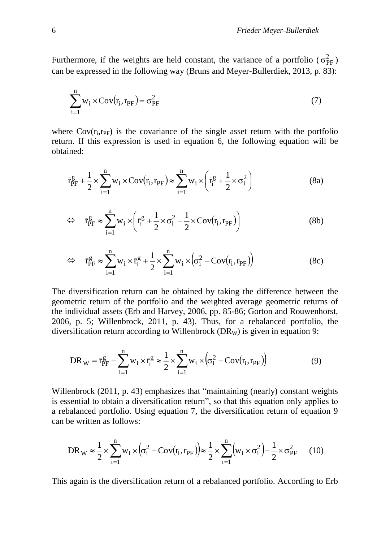Furthermore, if the weights are held constant, the variance of a portfolio ( $\sigma_{\text{PF}}^2$ ) can be expressed in the following way (Bruns and Meyer-Bullerdiek, 2013, p. 83):

$$
\sum_{i=1}^{n} w_i \times \text{Cov}(r_i, r_{\text{PF}}) = \sigma_{\text{PF}}^2 \tag{7}
$$

where  $Cov(r_i, r_{PF})$  is the covariance of the single asset return with the portfolio return. If this expression is used in equation 6, the following equation will be obtained:

$$
\bar{r}_{\rm PF}^{\rm g} + \frac{1}{2} \times \sum_{i=1}^{n} w_i \times \text{Cov}(r_i, r_{\rm PF}) \approx \sum_{i=1}^{n} w_i \times \left(\bar{r}_i^{\rm g} + \frac{1}{2} \times \sigma_i^2\right)
$$
(8a)

$$
\Leftrightarrow \quad \bar{r}_{PF}^g \approx \sum_{i=1}^n w_i \times \left( \bar{r}_i^g + \frac{1}{2} \times \sigma_i^2 - \frac{1}{2} \times \text{Cov}(r_i, r_{PF}) \right) \tag{8b}
$$

$$
\Leftrightarrow \quad \bar{r}_{PF}^g \approx \sum_{i=1}^n w_i \times \bar{r}_i^g + \frac{1}{2} \times \sum_{i=1}^n w_i \times (\sigma_i^2 - \text{Cov}(r_i, r_{PF})) \tag{8c}
$$

The diversification return can be obtained by taking the difference between the geometric return of the portfolio and the weighted average geometric returns of the individual assets (Erb and Harvey, 2006, pp. 85-86; Gorton and Rouwenhorst, 2006, p. 5; Willenbrock, 2011, p. 43). Thus, for a rebalanced portfolio, the diversification return according to Willenbrock ( $DR<sub>W</sub>$ ) is given in equation 9:

$$
DR_{\rm W} = \bar{r}_{\rm PF}^g - \sum_{i=1}^{n} w_i \times \bar{r}_i^g \approx \frac{1}{2} \times \sum_{i=1}^{n} w_i \times (\sigma_i^2 - \text{Cov}(r_i, r_{\rm PF}))
$$
(9)

Willenbrock (2011, p. 43) emphasizes that "maintaining (nearly) constant weights is essential to obtain a diversification return", so that this equation only applies to a rebalanced portfolio. Using equation 7, the diversification return of equation 9 can be written as follows:

$$
DR_W \approx \frac{1}{2} \times \sum_{i=1}^{n} w_i \times (\sigma_i^2 - \text{Cov}(r_i, r_{\text{PF}})) \approx \frac{1}{2} \times \sum_{i=1}^{n} (w_i \times \sigma_i^2) - \frac{1}{2} \times \sigma_{\text{PF}}^2 \tag{10}
$$

This again is the diversification return of a rebalanced portfolio. According to Erb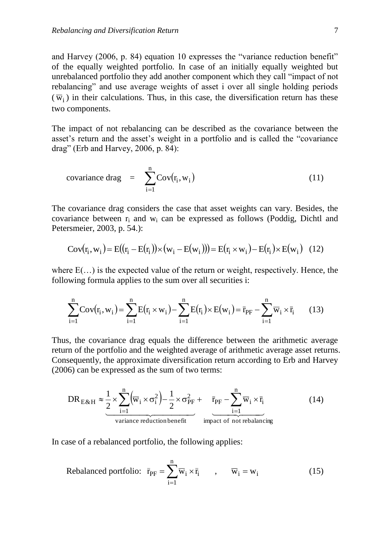and Harvey (2006, p. 84) equation 10 expresses the "variance reduction benefit" of the equally weighted portfolio. In case of an initially equally weighted but unrebalanced portfolio they add another component which they call "impact of not rebalancing" and use average weights of asset i over all single holding periods  $(\overline{w}_i)$  in their calculations. Thus, in this case, the diversification return has these two components.

The impact of not rebalancing can be described as the covariance between the asset's return and the asset's weight in a portfolio and is called the "covariance drag" (Erb and Harvey, 2006, p. 84):

covariance drag = 
$$
\sum_{i=1}^{n} \text{Cov}(\mathbf{r}_i, \mathbf{w}_i)
$$
 (11)

The covariance drag considers the case that asset weights can vary. Besides, the covariance between  $r_i$  and  $w_i$  can be expressed as follows (Poddig, Dichtl and Petersmeier, 2003, p. 54.):

 <sup>i</sup> <sup>i</sup> <sup>i</sup> <sup>i</sup> <sup>i</sup> <sup>i</sup> <sup>i</sup> <sup>i</sup> <sup>i</sup> <sup>E</sup> <sup>w</sup><sup>i</sup> Cov <sup>r</sup> ,<sup>w</sup> <sup>E</sup> <sup>r</sup> <sup>E</sup> <sup>r</sup> <sup>w</sup> <sup>E</sup> <sup>w</sup> <sup>E</sup> <sup>r</sup> <sup>w</sup> <sup>E</sup> <sup>r</sup> (12)

where  $E(\ldots)$  is the expected value of the return or weight, respectively. Hence, the following formula applies to the sum over all securities i:

$$
\sum_{i=1}^{n} \text{Cov}(r_i, w_i) = \sum_{i=1}^{n} E(r_i \times w_i) - \sum_{i=1}^{n} E(r_i) \times E(w_i) = \bar{r}_{PF} - \sum_{i=1}^{n} \overline{w}_i \times \bar{r}_i \qquad (13)
$$

Thus, the covariance drag equals the difference between the arithmetic average return of the portfolio and the weighted average of arithmetic average asset returns. Consequently, the approximate diversification return according to Erb and Harvey (2006) can be expressed as the sum of two terms:

$$
DR_{E\&H} \approx \underbrace{\frac{1}{2} \times \sum_{i=1}^{n} (\overline{w}_{i} \times \sigma_{i}^{2})}_{variance \, reduction \, benefit} - \underbrace{\bar{r}_{PF} - \sum_{i=1}^{n} \overline{w}_{i} \times \bar{r}_{i}}_{impat \, of \, not \, rebalancing} \tag{14}
$$

In case of a rebalanced portfolio, the following applies:

Rebalanced portfolio: 
$$
\bar{r}_{PF} = \sum_{i=1}^{n} \overline{w}_i \times \bar{r}_i
$$
,  $\overline{w}_i = w_i$  (15)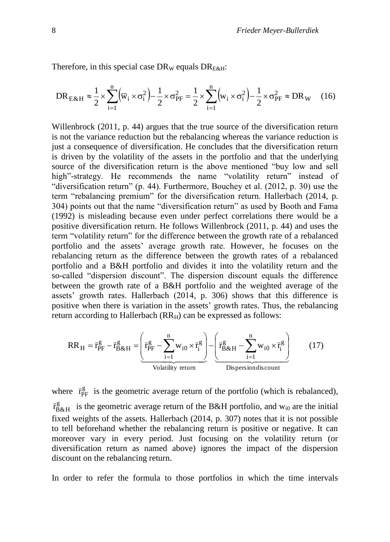Therefore, in this special case  $DR_W$  equals  $DR_{E\&H}$ :

$$
DR_{E\&H} \approx \frac{1}{2} \times \sum_{i=1}^{n} (\overline{w}_i \times \sigma_i^2) - \frac{1}{2} \times \sigma_{PF}^2 = \frac{1}{2} \times \sum_{i=1}^{n} (w_i \times \sigma_i^2) - \frac{1}{2} \times \sigma_{PF}^2 \approx DR_W \quad (16)
$$

Willenbrock (2011, p. 44) argues that the true source of the diversification return is not the variance reduction but the rebalancing whereas the variance reduction is just a consequence of diversification. He concludes that the diversification return is driven by the volatility of the assets in the portfolio and that the underlying source of the diversification return is the above mentioned "buy low and sell high"-strategy. He recommends the name "volatility return" instead of "diversification return" (p. 44). Furthermore, Bouchey et al. (2012, p. 30) use the term "rebalancing premium" for the diversification return. Hallerbach (2014, p. 304) points out that the name "diversification return" as used by Booth and Fama (1992) is misleading because even under perfect correlations there would be a positive diversification return. He follows Willenbrock (2011, p. 44) and uses the term "volatility return" for the difference between the growth rate of a rebalanced portfolio and the assets' average growth rate. However, he focuses on the rebalancing return as the difference between the growth rates of a rebalanced portfolio and a B&H portfolio and divides it into the volatility return and the so-called "dispersion discount". The dispersion discount equals the difference between the growth rate of a B&H portfolio and the weighted average of the assets' growth rates. Hallerbach (2014, p. 306) shows that this difference is positive when there is variation in the assets' growth rates. Thus, the rebalancing return according to Hallerbach  $(RR_H)$  can be expressed as follows:

$$
RR_{H} = \overline{r}_{PF}^{g} - \overline{r}_{B\&H}^{g} = \underbrace{\left(\overline{r}_{PF}^{g} - \sum_{i=1}^{n} w_{i0} \times \overline{r}_{i}^{g}\right)}_{\text{Volatility return}} - \underbrace{\left(\overline{r}_{B\&H}^{g} - \sum_{i=1}^{n} w_{i0} \times \overline{r}_{i}^{g}\right)}_{\text{Dispersonaliscount}} \tag{17}
$$

where  $\bar{r}_{\text{PF}}^g$  is the geometric average return of the portfolio (which is rebalanced),  $\bar{r}_{\text{B\&H}}^g$  is the geometric average return of the B&H portfolio, and  $w_{i0}$  are the initial fixed weights of the assets. Hallerbach (2014, p. 307) notes that it is not possible to tell beforehand whether the rebalancing return is positive or negative. It can moreover vary in every period. Just focusing on the volatility return (or diversification return as named above) ignores the impact of the dispersion discount on the rebalancing return.

In order to refer the formula to those portfolios in which the time intervals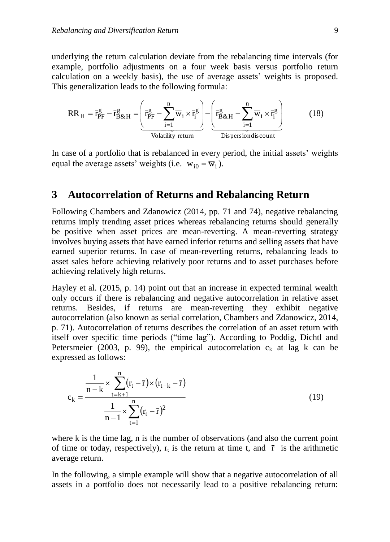underlying the return calculation deviate from the rebalancing time intervals (for example, portfolio adjustments on a four week basis versus portfolio return calculation on a weekly basis), the use of average assets' weights is proposed. This generalization leads to the following formula:

$$
RR_{H} = \bar{r}_{PF}^{g} - \bar{r}_{B\&H}^{g} = \underbrace{\left(\bar{r}_{PF}^{g} - \sum_{i=1}^{n} \bar{w}_{i} \times \bar{r}_{i}^{g}\right)}_{\text{Volatility return}} - \underbrace{\left(\bar{r}_{B\&H}^{g} - \sum_{i=1}^{n} \bar{w}_{i} \times \bar{r}_{i}^{g}\right)}_{\text{Dispersonaliscount}}
$$
(18)

In case of a portfolio that is rebalanced in every period, the initial assets' weights equal the average assets' weights (i.e.  $w_{i0} = \overline{w}_i$ ).

#### **3 Autocorrelation of Returns and Rebalancing Return**

Following Chambers and Zdanowicz (2014, pp. 71 and 74), negative rebalancing returns imply trending asset prices whereas rebalancing returns should generally be positive when asset prices are mean-reverting. A mean-reverting strategy involves buying assets that have earned inferior returns and selling assets that have earned superior returns. In case of mean-reverting returns, rebalancing leads to asset sales before achieving relatively poor returns and to asset purchases before achieving relatively high returns.

Hayley et al. (2015, p. 14) point out that an increase in expected terminal wealth only occurs if there is rebalancing and negative autocorrelation in relative asset returns. Besides, if returns are mean-reverting they exhibit negative autocorrelation (also known as serial correlation, Chambers and Zdanowicz, 2014, p. 71). Autocorrelation of returns describes the correlation of an asset return with itself over specific time periods ("time lag"). According to Poddig, Dichtl and Petersmeier (2003, p. 99), the empirical autocorrelation  $c_k$  at lag k can be expressed as follows:

$$
c_{k} = \frac{\frac{1}{n-k} \times \sum_{t=k+1}^{n} (r_{t} - \bar{r}) \times (r_{t-k} - \bar{r})}{\frac{1}{n-1} \times \sum_{t=1}^{n} (r_{t} - \bar{r})^{2}}
$$
(19)

where k is the time lag, n is the number of observations (and also the current point of time or today, respectively),  $r_t$  is the return at time t, and  $\bar{r}$  is the arithmetic average return.

In the following, a simple example will show that a negative autocorrelation of all assets in a portfolio does not necessarily lead to a positive rebalancing return: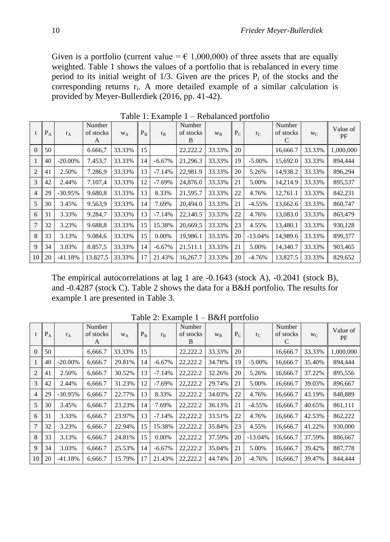Given is a portfolio (current value =  $\epsilon$  1,000,000) of three assets that are equally weighted. Table 1 shows the values of a portfolio that is rebalanced in every time period to its initial weight of  $1/3$ . Given are the prices  $P_i$  of the stocks and the corresponding returns r<sub>i</sub>. A more detailed example of a similar calculation is provided by Meyer-Bullerdiek (2016, pp. 41-42).

|                 | $P_A$ | $r_A$      | Number<br>of stocks<br>A | W <sub>A</sub> | $P_{B}$ | $r_{B}$   | Number<br>of stocks<br>B | $W_{B}$ | $P_C$ | $r_{C}$   | Number<br>of stocks<br>C | $W_C$  | Value of<br>PF |
|-----------------|-------|------------|--------------------------|----------------|---------|-----------|--------------------------|---------|-------|-----------|--------------------------|--------|----------------|
| $\theta$        | 50    |            | 6.666,7                  | 33.33%         | 15      |           | 22,222.2                 | 33.33%  | 20    |           | 16,666.7                 | 33.33% | 1,000,000      |
|                 | 40    | $-20.00\%$ | 7.453,7                  | 33.33%         | 14      | $-6.67%$  | 21,296.3                 | 33.33%  | 19    | $-5.00\%$ | 15,692.0                 | 33.33% | 894,444        |
| $\overline{2}$  | 41    | 2.50%      | 7.286,9                  | 33.33%         | 13      | $-7.14%$  | 22,981.9                 | 33.33%  | 20    | 5.26%     | 14,938.2                 | 33.33% | 896,294        |
| 3               | 42    | 2.44%      | 7.107,4                  | 33.33%         | 12      | $-7.69%$  | 24,876.0                 | 33.33%  | 21    | 5.00%     | 14,214.9                 | 33.33% | 895,537        |
| $\overline{4}$  | 29    | $-30.95%$  | 9.680,8                  | 33.33%         | 13      | 8.33%     | 21,595.7                 | 33.33%  | 22    | 4.76%     | 12,761.1                 | 33.33% | 842,231        |
| 5               | 30    | 3.45%      | 9.563,9                  | 33.33%         | 14      | 7.69%     | 20,494.0                 | 33.33%  | 21    | $-4.55%$  | 13,662.6                 | 33.33% | 860,747        |
| 6               | 31    | 3.33%      | 9.284,7                  | 33.33%         | 13      | $-7.14%$  | 22,140.5                 | 33.33%  | 22    | 4.76%     | 13,083.0                 | 33.33% | 863,479        |
| 7               | 32    | 3.23%      | 9.688,8                  | 33.33%         | 15      | 15.38%    | 20,669.5                 | 33.33%  | 23    | 4.55%     | 13,480.1                 | 33.33% | 930,128        |
| 8               | 33    | 3.13%      | 9.084,6                  | 33.33%         | 15      | $0.00\%$  | 19.986.1                 | 33.33%  | 20    | $-13.04%$ | 14.989.6                 | 33.33% | 899,377        |
| 9               | 34    | 3.03%      | 8.857,5                  | 33.33%         | 14      | $-6.67\%$ | 21,511.1                 | 33.33%  | 21    | 5.00%     | 14,340.7                 | 33.33% | 903,465        |
| 10 <sup>1</sup> | 20    | $-41.18%$  | 13.827,5                 | 33.33%         | 17      | 21.43%    | 16.267.7                 | 33.33%  | 20    | $-4.76\%$ | 13,827.5                 | 33.33% | 829,652        |

Table 1: Example 1 – Rebalanced portfolio

The empirical autocorrelations at lag 1 are -0.1643 (stock A), -0.2041 (stock B), and -0.4287 (stock C). Table 2 shows the data for a B&H portfolio. The results for example 1 are presented in Table 3.

|                 | $P_A$ | $r_A$      | Number<br>of stocks<br>A | W <sub>A</sub> | $P_{B}$ | $r_{B}$   | Number<br>of stocks<br>B | W <sub>R</sub> | $P_C$ | $r_{C}$   | Number<br>of stocks<br>C | $W_{C}$ | Value of<br>PF |
|-----------------|-------|------------|--------------------------|----------------|---------|-----------|--------------------------|----------------|-------|-----------|--------------------------|---------|----------------|
| $\theta$        | 50    |            | 6.666.7                  | 33.33%         | 15      |           | 22,222.2                 | 33.33%         | 20    |           | 16,666.7                 | 33.33%  | 1,000,000      |
|                 | 40    | $-20.00\%$ | 6.666.7                  | 29.81%         | 14      | $-6.67%$  | 22,222.2                 | 34.78%         | 19    | $-5.00\%$ | 16,666.7                 | 35.40%  | 894,444        |
| $\overline{2}$  | 41    | 2.50%      | 6.666.7                  | 30.52%         | 13      | $-7.14%$  | 22,222.2                 | 32.26%         | 20    | 5.26%     | 16,666.7                 | 37.22%  | 895,556        |
| 3               | 42    | 2.44%      | 6.666.7                  | 31.23%         | 12      | $-7.69%$  | 22,222.2                 | 29.74%         | 21    | 5.00%     | 16,666.7                 | 39.03%  | 896,667        |
| $\overline{4}$  | 29    | $-30.95%$  | 6,666.7                  | 22.77%         | 13      | 8.33%     | 22,222.2                 | 34.03%         | 22    | 4.76%     | 16,666.7                 | 43.19%  | 848,889        |
| 5               | 30    | 3.45%      | 6,666.7                  | 23.23%         | 14      | 7.69%     | 22,222.2                 | 36.13%         | 21    | $-4.55%$  | 16,666.7                 | 40.65%  | 861,111        |
| 6               | 31    | 3.33%      | 6,666.7                  | 23.97%         | 13      | $-7.14%$  | 22,222.2                 | 33.51%         | 22    | 4.76%     | 16,666.7                 | 42.53%  | 862,222        |
| 7               | 32    | 3.23%      | 6,666.7                  | 22.94%         | 15      | 15.38%    | 22,222.2                 | 35.84%         | 23    | 4.55%     | 16,666.7                 | 41.22%  | 930,000        |
| 8               | 33    | 3.13%      | 6,666.7                  | 24.81%         | 15      | $0.00\%$  | 22,222.2                 | 37.59%         | 20    | $-13.04%$ | 16,666.7                 | 37.59%  | 886,667        |
| 9               | 34    | 3.03%      | 6,666.7                  | 25.53%         | 14      | $-6.67\%$ | 22,222.2                 | 35.04%         | 21    | 5.00%     | 16,666.7                 | 39.42%  | 887,778        |
| 10 <sup>1</sup> | 20    | $-41.18%$  | 6,666.7                  | 15.79%         | 17      | 21.43%    | 22.222.2                 | 44.74%         | 20    | $-4.76%$  | 16,666.7                 | 39.47%  | 844,444        |

Table 2: Example 1 – B&H portfolio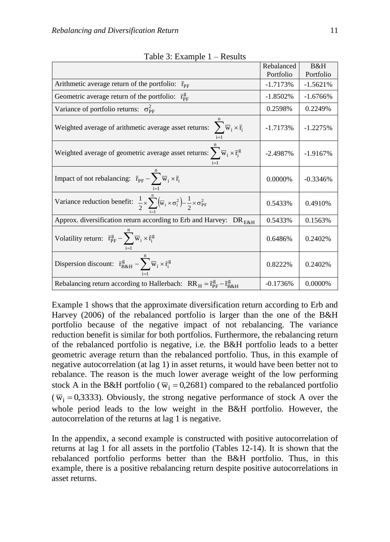| $\frac{1}{2}$ . Enample 1 Resented                                                                                                    | Rebalanced | B&H         |
|---------------------------------------------------------------------------------------------------------------------------------------|------------|-------------|
|                                                                                                                                       | Portfolio  | Portfolio   |
| Arithmetic average return of the portfolio:<br>$r_{\rm PF}$                                                                           | $-1.7173%$ | $-1.5621%$  |
| Geometric average return of the portfolio: $\bar{r}_{\rm PF}^g$                                                                       | $-1.8502%$ | $-1.6766\%$ |
| Variance of portfolio returns: $\sigma_{\text{PE}}^2$                                                                                 | 0.2598%    | 0.2249%     |
| Weighted average of arithmetic average asset returns: $\sum \overline{w}_i \times \overline{r}_i$                                     | $-1.7173%$ | $-1.2275%$  |
| Weighted average of geometric average asset returns: $\sum \overline{w}_i \times \overline{r}_i^g$                                    | $-2.4987%$ | $-1.9167%$  |
| Impact of not rebalancing: $\bar{r}_{PF} - \sum_{i}^{\infty} \bar{w}_i \times \bar{r}_i$                                              | 0.0000%    | $-0.3346%$  |
| Variance reduction benefit: $\frac{1}{2} \times \sum_{i=1}^{n} (\overline{w}_i \times \sigma_i^2) - \frac{1}{2} \times \sigma_{PF}^2$ | 0.5433%    | 0.4910%     |
| Approx. diversification return according to Erb and Harvey: DR <sub>E&amp;H</sub>                                                     | 0.5433%    | 0.1563%     |
| Volatility return: $\bar{r}_{PF}^g - \sum_{i}^{\infty} \bar{w}_i \times \bar{r}_i^g$                                                  | 0.6486%    | 0.2402%     |
| Dispersion discount: $\bar{r}_{B\&H}^g - \sum_{i=1}^{n} \bar{w}_i \times \bar{r}_i^g$                                                 | 0.8222%    | 0.2402%     |
| Rebalancing return according to Hallerbach: $RR_H = \bar{r}_{PF}^g - \bar{r}_{B\&H}^g$                                                | $-0.1736%$ | 0.0000%     |

Table 3: Example  $1 -$  Results

Example 1 shows that the approximate diversification return according to Erb and Harvey (2006) of the rebalanced portfolio is larger than the one of the B&H portfolio because of the negative impact of not rebalancing. The variance reduction benefit is similar for both portfolios. Furthermore, the rebalancing return of the rebalanced portfolio is negative, i.e. the B&H portfolio leads to a better geometric average return than the rebalanced portfolio. Thus, in this example of negative autocorrelation (at lag 1) in asset returns, it would have been better not to rebalance. The reason is the much lower average weight of the low performing stock A in the B&H portfolio ( $\overline{w}_i = 0.2681$ ) compared to the rebalanced portfolio  $(\overline{w}_i = 0.3333)$ . Obviously, the strong negative performance of stock A over the whole period leads to the low weight in the B&H portfolio. However, the autocorrelation of the returns at lag 1 is negative.

In the appendix, a second example is constructed with positive autocorrelation of returns at lag 1 for all assets in the portfolio (Tables 12-14). It is shown that the rebalanced portfolio performs better than the B&H portfolio. Thus, in this example, there is a positive rebalancing return despite positive autocorrelations in asset returns.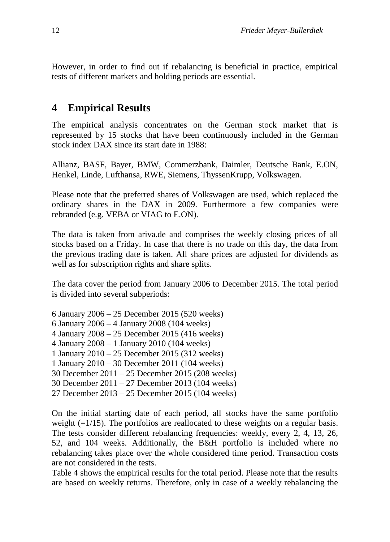However, in order to find out if rebalancing is beneficial in practice, empirical tests of different markets and holding periods are essential.

## **4 Empirical Results**

The empirical analysis concentrates on the German stock market that is represented by 15 stocks that have been continuously included in the German stock index DAX since its start date in 1988:

Allianz, BASF, Bayer, BMW, Commerzbank, Daimler, Deutsche Bank, E.ON, Henkel, Linde, Lufthansa, RWE, Siemens, ThyssenKrupp, Volkswagen.

Please note that the preferred shares of Volkswagen are used, which replaced the ordinary shares in the DAX in 2009. Furthermore a few companies were rebranded (e.g. VEBA or VIAG to E.ON).

The data is taken from ariva.de and comprises the weekly closing prices of all stocks based on a Friday. In case that there is no trade on this day, the data from the previous trading date is taken. All share prices are adjusted for dividends as well as for subscription rights and share splits.

The data cover the period from January 2006 to December 2015. The total period is divided into several subperiods:

6 January 2006 – 25 December 2015 (520 weeks) 6 January 2006 – 4 January 2008 (104 weeks) 4 January 2008 – 25 December 2015 (416 weeks) 4 January 2008 – 1 January 2010 (104 weeks) 1 January 2010 – 25 December 2015 (312 weeks) 1 January 2010 – 30 December 2011 (104 weeks) 30 December 2011 – 25 December 2015 (208 weeks) 30 December 2011 – 27 December 2013 (104 weeks) 27 December 2013 – 25 December 2015 (104 weeks)

On the initial starting date of each period, all stocks have the same portfolio weight  $(=1/15)$ . The portfolios are reallocated to these weights on a regular basis. The tests consider different rebalancing frequencies: weekly, every 2, 4, 13, 26, 52, and 104 weeks. Additionally, the B&H portfolio is included where no rebalancing takes place over the whole considered time period. Transaction costs are not considered in the tests.

Table 4 shows the empirical results for the total period. Please note that the results are based on weekly returns. Therefore, only in case of a weekly rebalancing the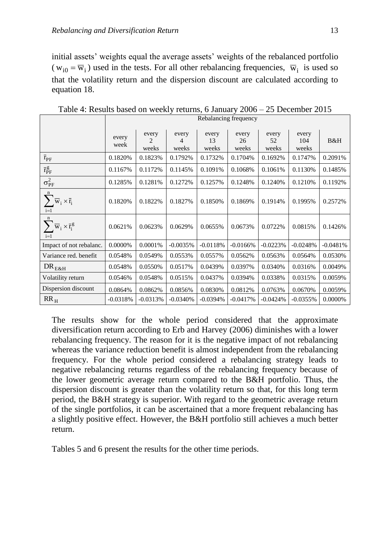initial assets' weights equal the average assets' weights of the rebalanced portfolio  $(w_{i0} = \overline{w}_i)$  used in the tests. For all other rebalancing frequencies,  $\overline{w}_i$  is used so that the volatility return and the dispersion discount are calculated according to equation 18.

|                                                                  |               | Rebalancing frequency            |                     |                      |                      |                      |                       |            |  |  |  |  |
|------------------------------------------------------------------|---------------|----------------------------------|---------------------|----------------------|----------------------|----------------------|-----------------------|------------|--|--|--|--|
|                                                                  | every<br>week | every<br>$\mathfrak{D}$<br>weeks | every<br>4<br>weeks | every<br>13<br>weeks | every<br>26<br>weeks | every<br>52<br>weeks | every<br>104<br>weeks | B&H        |  |  |  |  |
| $\bar{r}_{PF}$                                                   | 0.1820%       | 0.1823%                          | 0.1792%             | 0.1732%              | 0.1704%              | 0.1692%              | 0.1747%               | 0.2091%    |  |  |  |  |
| $\bar{r}_{PF}^g$                                                 | 0.1167%       | 0.1172%                          | 0.1145%             | 0.1091%              | 0.1068%              | 0.1061%              | 0.1130%               | 0.1485%    |  |  |  |  |
| $\sigma_{PF}^2$                                                  | 0.1285%       | 0.1281%                          | 0.1272%             | 0.1257%              | 0.1248%              | 0.1240%              | 0.1210\%              | 0.1192%    |  |  |  |  |
| $\mathbf n$<br>$\overline{w}_i \times \overline{r}_i$<br>$i=1$   | 0.1820%       | 0.1822%                          | 0.1827%             | 0.1850%              | 0.1869%              | 0.1914%              | 0.1995%               | 0.2572%    |  |  |  |  |
| $\mathbf n$<br>$\overline{w}_i \times \overline{r}_i^g$<br>$i=1$ | 0.0621%       | 0.0623%                          | 0.0629%             | 0.0655%              | 0.0673%              | 0.0722%              | 0.0815%               | 0.1426%    |  |  |  |  |
| Impact of not rebalanc.                                          | 0.0000%       | 0.0001%                          | $-0.0035%$          | $-0.0118%$           | $-0.0166%$           | $-0.0223%$           | $-0.0248%$            | $-0.0481%$ |  |  |  |  |
| Variance red. benefit                                            | 0.0548%       | 0.0549%                          | 0.0553%             | 0.0557%              | 0.0562%              | 0.0563%              | 0.0564%               | 0.0530%    |  |  |  |  |
| $DR_{E&H}$                                                       | 0.0548%       | 0.0550%                          | 0.0517%             | 0.0439%              | 0.0397%              | 0.0340%              | 0.0316%               | 0.0049%    |  |  |  |  |
| Volatility return                                                | 0.0546%       | 0.0548%                          | 0.0515%             | 0.0437%              | 0.0394%              | 0.0338%              | 0.0315%               | 0.0059%    |  |  |  |  |
| Dispersion discount                                              | 0.0864%       | 0.0862%                          | 0.0856%             | 0.0830%              | 0.0812%              | 0.0763%              | 0.0670%               | 0.0059%    |  |  |  |  |
| $RR_{H}$                                                         | $-0.0318%$    | $-0.0313%$                       | $-0.0340%$          | $-0.0394%$           | $-0.0417%$           | $-0.0424%$           | $-0.0355%$            | 0.0000%    |  |  |  |  |

Table 4: Results based on weekly returns, 6 January 2006 – 25 December 2015

The results show for the whole period considered that the approximate diversification return according to Erb and Harvey (2006) diminishes with a lower rebalancing frequency. The reason for it is the negative impact of not rebalancing whereas the variance reduction benefit is almost independent from the rebalancing frequency. For the whole period considered a rebalancing strategy leads to negative rebalancing returns regardless of the rebalancing frequency because of the lower geometric average return compared to the B&H portfolio. Thus, the dispersion discount is greater than the volatility return so that, for this long term period, the B&H strategy is superior. With regard to the geometric average return of the single portfolios, it can be ascertained that a more frequent rebalancing has a slightly positive effect. However, the B&H portfolio still achieves a much better return.

Tables 5 and 6 present the results for the other time periods.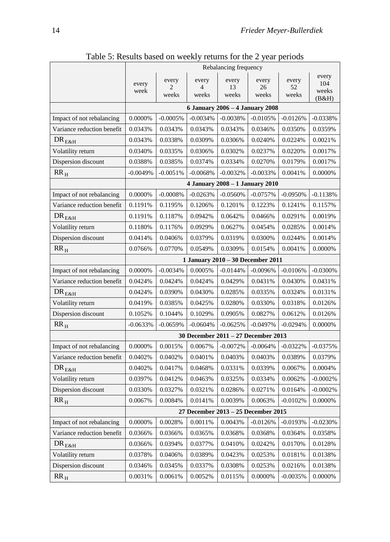|                            |               |                     |                     | Rebalancing frequency               |                      |                      |                                |
|----------------------------|---------------|---------------------|---------------------|-------------------------------------|----------------------|----------------------|--------------------------------|
|                            | every<br>week | every<br>2<br>weeks | every<br>4<br>weeks | every<br>13<br>weeks                | every<br>26<br>weeks | every<br>52<br>weeks | every<br>104<br>weeks<br>(B&H) |
|                            |               |                     |                     | 6 January 2006 - 4 January 2008     |                      |                      |                                |
| Impact of not rebalancing  | 0.0000%       | $-0.0005%$          | $-0.0034%$          | $-0.0038%$                          | $-0.0105%$           | $-0.0126%$           | $-0.0338%$                     |
| Variance reduction benefit | 0.0343%       | 0.0343%             | 0.0343%             | 0.0343%                             | 0.0346%              | 0.0350%              | 0.0359%                        |
| $DR_{E&H}$                 | 0.0343%       | 0.0338%             | 0.0309%             | 0.0306%                             | 0.0240%              | 0.0224%              | 0.0021%                        |
| Volatility return          | 0.0340%       | 0.0335%             | 0.0306%             | 0.0302%                             | 0.0237%              | 0.0220%              | 0.0017%                        |
| Dispersion discount        | 0.0388%       | 0.0385%             | 0.0374%             | 0.0334%                             | 0.0270%              | 0.0179%              | 0.0017%                        |
| $RR_H$                     | $-0.0049%$    | $-0.0051%$          | $-0.0068%$          | $-0.0032%$                          | $-0.0033%$           | 0.0041%              | 0.0000%                        |
|                            |               |                     |                     | 4 January 2008 - 1 January 2010     |                      |                      |                                |
| Impact of not rebalancing  | 0.0000%       | $-0.0008%$          | $-0.0263%$          | $-0.0560%$                          | $-0.0757%$           | $-0.0950%$           | $-0.1138%$                     |
| Variance reduction benefit | 0.1191%       | 0.1195%             | 0.1206%             | 0.1201%                             | 0.1223%              | 0.1241%              | 0.1157%                        |
| $DR_{E&H}$                 | 0.1191%       | 0.1187%             | 0.0942%             | 0.0642%                             | 0.0466%              | 0.0291%              | 0.0019%                        |
| Volatility return          | 0.1180%       | 0.1176%             | 0.0929%             | 0.0627%                             | 0.0454%              | 0.0285%              | 0.0014%                        |
| Dispersion discount        | 0.0414%       | 0.0406%             | 0.0379%             | 0.0319%                             | 0.0300%              | 0.0244%              | 0.0014%                        |
| $RR_{H}$                   | 0.0766%       | 0.0770%             | 0.0549%             | 0.0309%                             | 0.0154%              | 0.0041%              | 0.0000%                        |
|                            |               |                     |                     | 1 January 2010 - 30 December 2011   |                      |                      |                                |
| Impact of not rebalancing  | $0.0000\%$    | $-0.0034%$          | 0.0005%             | $-0.0144%$                          | $-0.0096%$           | $-0.0106%$           | $-0.0300%$                     |
| Variance reduction benefit | 0.0424%       | 0.0424%             | 0.0424%             | 0.0429%                             | 0.0431%              | 0.0430%              | 0.0431%                        |
| $DR_{E&H}$                 | 0.0424%       | 0.0390%             | 0.0430%             | 0.0285%                             | 0.0335%              | 0.0324%              | 0.0131%                        |
| Volatility return          | 0.0419%       | 0.0385%             | 0.0425%             | 0.0280%                             | 0.0330%              | 0.0318%              | 0.0126%                        |
| Dispersion discount        | 0.1052%       | 0.1044%             | 0.1029%             | 0.0905%                             | 0.0827%              | 0.0612%              | 0.0126%                        |
| $RR_{H}$                   | $-0.0633%$    | $-0.0659%$          | $-0.0604%$          | $-0.0625%$                          | $-0.0497%$           | $-0.0294%$           | 0.0000%                        |
|                            |               |                     |                     | 30 December 2011 - 27 December 2013 |                      |                      |                                |
| Impact of not rebalancing  | 0.0000%       | 0.0015%             | 0.0067%             | $-0.0072%$                          | $-0.0064%$           | $-0.0322%$           | $-0.0375%$                     |
| Variance reduction benefit | 0.0402%       | 0.0402%             | 0.0401%             | 0.0403%                             | 0.0403%              | 0.0389%              | 0.0379%                        |
| $DR_{E&H}$                 | 0.0402%       | 0.0417%             | 0.0468%             | 0.0331%                             | 0.0339%              | 0.0067%              | 0.0004%                        |
| Volatility return          | 0.0397%       | 0.0412%             | 0.0463%             | 0.0325%                             | 0.0334%              | 0.0062%              | $-0.0002%$                     |
| Dispersion discount        | 0.0330%       | 0.0327%             | 0.0321%             | 0.0286%                             | 0.0271%              | 0.0164%              | $-0.0002%$                     |
| $RR_H$                     | 0.0067%       | 0.0084%             | 0.0141%             | 0.0039%                             | 0.0063%              | $-0.0102%$           | 0.0000%                        |
|                            |               |                     |                     | 27 December 2013 - 25 December 2015 |                      |                      |                                |
| Impact of not rebalancing  | $0.0000\%$    | 0.0028%             | 0.0011%             | 0.0043%                             | $-0.0126%$           | $-0.0193%$           | $-0.0230%$                     |
| Variance reduction benefit | 0.0366%       | 0.0366%             | 0.0365%             | 0.0368%                             | 0.0368%              | 0.0364%              | 0.0358%                        |
| $DR_{E&H}$                 | 0.0366%       | 0.0394%             | 0.0377%             | 0.0410%                             | 0.0242%              | 0.0170%              | 0.0128%                        |
| Volatility return          | 0.0378%       | 0.0406%             | 0.0389%             | 0.0423%                             | 0.0253%              | 0.0181%              | 0.0138%                        |
| Dispersion discount        | 0.0346%       | 0.0345%             | 0.0337%             | 0.0308%                             | 0.0253%              | 0.0216%              | 0.0138%                        |
| $RR_H$                     | 0.0031%       | 0.0061%             | 0.0052%             | 0.0115%                             | 0.0000%              | $-0.0035%$           | 0.0000%                        |

Table 5: Results based on weekly returns for the 2 year periods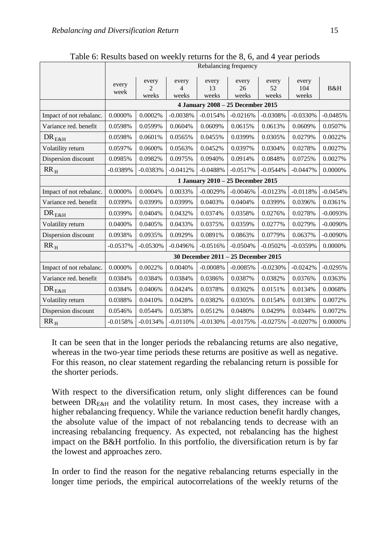|                           |                                   | Rebalancing frequency            |                     |                      |                                     |                      |                       |            |  |  |  |  |
|---------------------------|-----------------------------------|----------------------------------|---------------------|----------------------|-------------------------------------|----------------------|-----------------------|------------|--|--|--|--|
|                           | every<br>week                     | every<br>$\overline{2}$<br>weeks | every<br>4<br>weeks | every<br>13<br>weeks | every<br>26<br>weeks                | every<br>52<br>weeks | every<br>104<br>weeks | B&H        |  |  |  |  |
|                           |                                   |                                  |                     |                      | 4 January 2008 - 25 December 2015   |                      |                       |            |  |  |  |  |
| Impact of not rebalanc.   | 0.0000%                           | 0.0002%                          | $-0.0038%$          | $-0.0154%$           | $-0.0216%$                          | $-0.0308%$           | $-0.0330%$            | $-0.0485%$ |  |  |  |  |
| Variance red. benefit     | 0.0598%                           | 0.0599%                          | 0.0604%             | 0.0609%              | 0.0615%                             | 0.0613%              | 0.0609%               | 0.0507%    |  |  |  |  |
| $\text{DR}_{\text{E\&H}}$ | 0.0598%                           | 0.0601%                          | 0.0565%             | 0.0455%              | 0.0399%                             | 0.0305%              | 0.0279%               | 0.0022%    |  |  |  |  |
| Volatility return         | 0.0597%                           | 0.0600%                          | 0.0563%             | 0.0452%              | 0.0397%                             | 0.0304%              | 0.0278%               | 0.0027%    |  |  |  |  |
| Dispersion discount       | 0.0985%                           | 0.0982%                          | 0.0975%             | 0.0940%              | 0.0914%                             | 0.0848%              | 0.0725%               | 0.0027%    |  |  |  |  |
| $RR_{H}$                  | $-0.0389%$                        | $-0.0383%$                       | $-0.0412%$          | $-0.0488%$           | $-0.0517%$                          | $-0.0544%$           | $-0.0447%$            | 0.0000%    |  |  |  |  |
|                           | 1 January 2010 - 25 December 2015 |                                  |                     |                      |                                     |                      |                       |            |  |  |  |  |
| Impact of not rebalanc.   | $0.0000\%$                        | 0.0004%                          | 0.0033%             | $-0.0029%$           | $-0.0046%$                          | $-0.0123%$           | $-0.0118%$            | $-0.0454%$ |  |  |  |  |
| Variance red. benefit     | 0.0399%                           | 0.0399%                          | 0.0399%             | 0.0403%              | 0.0404%                             | 0.0399%              | 0.0396%               | 0.0361%    |  |  |  |  |
| $DR_{E&H}$                | 0.0399%                           | 0.0404%                          | 0.0432%             | 0.0374%              | 0.0358%                             | 0.0276%              | 0.0278%               | $-0.0093%$ |  |  |  |  |
| Volatility return         | 0.0400%                           | 0.0405%                          | 0.0433%             | 0.0375%              | 0.0359%                             | 0.0277%              | 0.0279%               | $-0.0090%$ |  |  |  |  |
| Dispersion discount       | 0.0938%                           | 0.0935%                          | 0.0929%             | 0.0891%              | 0.0863%                             | 0.0779%              | 0.0637%               | $-0.0090%$ |  |  |  |  |
| $RR_{H}$                  | $-0.0537%$                        | $-0.0530%$                       | $-0.0496%$          | $-0.0516%$           | $-0.0504%$                          | $-0.0502%$           | $-0.0359%$            | 0.0000%    |  |  |  |  |
|                           |                                   |                                  |                     |                      | 30 December 2011 - 25 December 2015 |                      |                       |            |  |  |  |  |
| Impact of not rebalanc.   | 0.0000%                           | 0.0022%                          | 0.0040%             | $-0.0008%$           | $-0.0085%$                          | $-0.0230%$           | $-0.0242%$            | $-0.0295%$ |  |  |  |  |
| Variance red. benefit     | 0.0384%                           | 0.0384%                          | 0.0384%             | 0.0386%              | 0.0387%                             | 0.0382%              | 0.0376%               | 0.0363%    |  |  |  |  |
| $\text{DR}_{\text{E\&H}}$ | 0.0384%                           | 0.0406%                          | 0.0424%             | 0.0378%              | 0.0302%                             | 0.0151%              | 0.0134%               | 0.0068%    |  |  |  |  |
| Volatility return         | 0.0388%                           | 0.0410%                          | 0.0428%             | 0.0382%              | 0.0305%                             | 0.0154%              | 0.0138%               | 0.0072%    |  |  |  |  |
| Dispersion discount       | 0.0546%                           | 0.0544%                          | 0.0538%             | 0.0512%              | 0.0480%                             | 0.0429%              | 0.0344%               | 0.0072%    |  |  |  |  |
| $RR_{H}$                  | $-0.0158%$                        | $-0.0134%$                       | $-0.0110%$          | $-0.0130%$           | $-0.0175%$                          | $-0.0275%$           | $-0.0207%$            | 0.0000%    |  |  |  |  |

Table 6: Results based on weekly returns for the 8, 6, and 4 year periods

It can be seen that in the longer periods the rebalancing returns are also negative, whereas in the two-year time periods these returns are positive as well as negative. For this reason, no clear statement regarding the rebalancing return is possible for the shorter periods.

With respect to the diversification return, only slight differences can be found between  $DR_{E, \&H}$  and the volatility return. In most cases, they increase with a higher rebalancing frequency. While the variance reduction benefit hardly changes, the absolute value of the impact of not rebalancing tends to decrease with an increasing rebalancing frequency. As expected, not rebalancing has the highest impact on the B&H portfolio. In this portfolio, the diversification return is by far the lowest and approaches zero.

In order to find the reason for the negative rebalancing returns especially in the longer time periods, the empirical autocorrelations of the weekly returns of the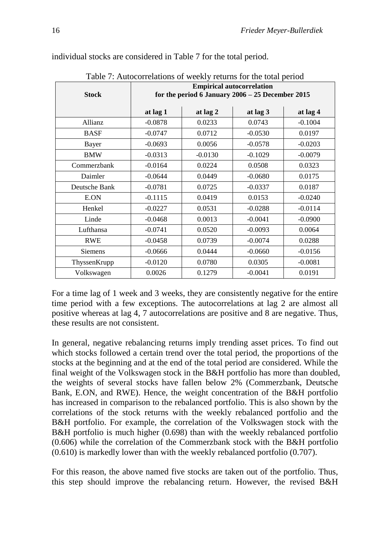| Table 7: Autocorrelations of weekly returns for the total period<br><b>Empirical autocorrelation</b> |           |           |                                                    |           |  |  |  |  |  |  |  |  |
|------------------------------------------------------------------------------------------------------|-----------|-----------|----------------------------------------------------|-----------|--|--|--|--|--|--|--|--|
|                                                                                                      |           |           |                                                    |           |  |  |  |  |  |  |  |  |
| <b>Stock</b>                                                                                         |           |           | for the period 6 January $2006 - 25$ December 2015 |           |  |  |  |  |  |  |  |  |
|                                                                                                      | at lag 1  | at lag 2  | at lag 3                                           | at lag 4  |  |  |  |  |  |  |  |  |
|                                                                                                      |           |           |                                                    |           |  |  |  |  |  |  |  |  |
| Allianz                                                                                              | $-0.0878$ | 0.0233    | 0.0743                                             | $-0.1004$ |  |  |  |  |  |  |  |  |
| <b>BASF</b>                                                                                          | $-0.0747$ | 0.0712    | $-0.0530$                                          | 0.0197    |  |  |  |  |  |  |  |  |
| Bayer                                                                                                | $-0.0693$ | 0.0056    | $-0.0578$                                          | $-0.0203$ |  |  |  |  |  |  |  |  |
| <b>BMW</b>                                                                                           | $-0.0313$ | $-0.0130$ | $-0.1029$                                          | $-0.0079$ |  |  |  |  |  |  |  |  |
| Commerzbank                                                                                          | $-0.0164$ | 0.0224    | 0.0508                                             | 0.0323    |  |  |  |  |  |  |  |  |
| Daimler                                                                                              | $-0.0644$ | 0.0449    | $-0.0680$                                          | 0.0175    |  |  |  |  |  |  |  |  |
| Deutsche Bank                                                                                        | $-0.0781$ | 0.0725    | $-0.0337$                                          | 0.0187    |  |  |  |  |  |  |  |  |
| E.ON                                                                                                 | $-0.1115$ | 0.0419    | 0.0153                                             | $-0.0240$ |  |  |  |  |  |  |  |  |
| Henkel                                                                                               | $-0.0227$ | 0.0531    | $-0.0288$                                          | $-0.0114$ |  |  |  |  |  |  |  |  |
| Linde                                                                                                | $-0.0468$ | 0.0013    | $-0.0041$                                          | $-0.0900$ |  |  |  |  |  |  |  |  |
| Lufthansa                                                                                            | $-0.0741$ | 0.0520    | $-0.0093$                                          | 0.0064    |  |  |  |  |  |  |  |  |
| <b>RWE</b>                                                                                           | $-0.0458$ | 0.0739    | $-0.0074$                                          | 0.0288    |  |  |  |  |  |  |  |  |
| Siemens                                                                                              | $-0.0666$ | 0.0444    | $-0.0660$                                          | $-0.0156$ |  |  |  |  |  |  |  |  |
| ThyssenKrupp                                                                                         | $-0.0120$ | 0.0780    | 0.0305                                             | $-0.0081$ |  |  |  |  |  |  |  |  |
| Volkswagen                                                                                           | 0.0026    | 0.1279    | $-0.0041$                                          | 0.0191    |  |  |  |  |  |  |  |  |

individual stocks are considered in Table 7 for the total period.

For a time lag of 1 week and 3 weeks, they are consistently negative for the entire

Table 7: Autocorrelations of weekly returns for the total period

time period with a few exceptions. The autocorrelations at lag 2 are almost all positive whereas at lag 4, 7 autocorrelations are positive and 8 are negative. Thus, these results are not consistent.

In general, negative rebalancing returns imply trending asset prices. To find out which stocks followed a certain trend over the total period, the proportions of the stocks at the beginning and at the end of the total period are considered. While the final weight of the Volkswagen stock in the B&H portfolio has more than doubled, the weights of several stocks have fallen below 2% (Commerzbank, Deutsche Bank, E.ON, and RWE). Hence, the weight concentration of the B&H portfolio has increased in comparison to the rebalanced portfolio. This is also shown by the correlations of the stock returns with the weekly rebalanced portfolio and the B&H portfolio. For example, the correlation of the Volkswagen stock with the B&H portfolio is much higher (0.698) than with the weekly rebalanced portfolio (0.606) while the correlation of the Commerzbank stock with the B&H portfolio (0.610) is markedly lower than with the weekly rebalanced portfolio (0.707).

For this reason, the above named five stocks are taken out of the portfolio. Thus, this step should improve the rebalancing return. However, the revised B&H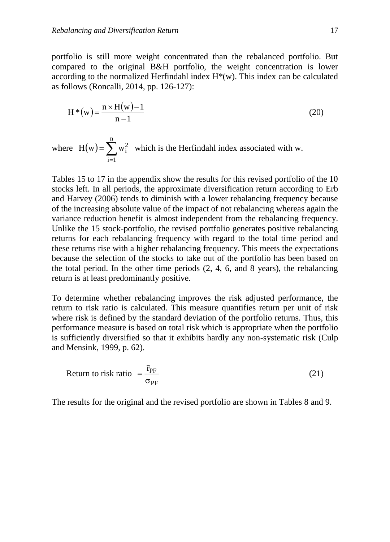portfolio is still more weight concentrated than the rebalanced portfolio. But compared to the original B&H portfolio, the weight concentration is lower according to the normalized Herfindahl index  $H^*(w)$ . This index can be calculated as follows (Roncalli, 2014, pp. 126-127):

$$
H^*(w) = \frac{n \times H(w) - 1}{n - 1}
$$
 (20)

where  $H(w) = \sum$  $H(w) = \sum_{i=1}^{n} w_i^2$  which is the Herfindahl index associated with w.  $i = 1$ 

Tables 15 to 17 in the appendix show the results for this revised portfolio of the 10 stocks left. In all periods, the approximate diversification return according to Erb and Harvey (2006) tends to diminish with a lower rebalancing frequency because of the increasing absolute value of the impact of not rebalancing whereas again the variance reduction benefit is almost independent from the rebalancing frequency. Unlike the 15 stock-portfolio, the revised portfolio generates positive rebalancing returns for each rebalancing frequency with regard to the total time period and these returns rise with a higher rebalancing frequency. This meets the expectations because the selection of the stocks to take out of the portfolio has been based on the total period. In the other time periods  $(2, 4, 6, \text{ and } 8 \text{ years})$ , the rebalancing return is at least predominantly positive.

To determine whether rebalancing improves the risk adjusted performance, the return to risk ratio is calculated. This measure quantifies return per unit of risk where risk is defined by the standard deviation of the portfolio returns. Thus, this performance measure is based on total risk which is appropriate when the portfolio is sufficiently diversified so that it exhibits hardly any non-systematic risk (Culp and Mensink, 1999, p. 62).

Return to risk ratio = 
$$
\frac{\bar{r}_{PF}}{\sigma_{PF}}
$$
 (21)

The results for the original and the revised portfolio are shown in Tables 8 and 9.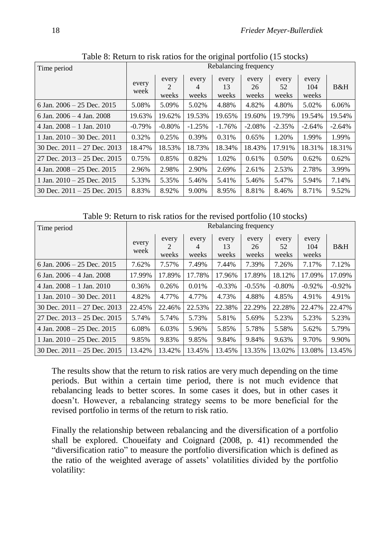| Time period                       | Rebalancing frequency |                |                     |                      |                      |                      |                       |          |  |  |  |
|-----------------------------------|-----------------------|----------------|---------------------|----------------------|----------------------|----------------------|-----------------------|----------|--|--|--|
|                                   | every<br>week         | every<br>weeks | every<br>4<br>weeks | every<br>13<br>weeks | every<br>26<br>weeks | every<br>52<br>weeks | every<br>104<br>weeks | B&H      |  |  |  |
| 6 Jan. $2006 - 25$ Dec. $2015$    | 5.08%                 | 5.09%          | 5.02%               | 4.88%                | 4.82%                | 4.80%                | 5.02%                 | 6.06%    |  |  |  |
| 6 Jan. $2006 - 4$ Jan. $2008$     | 19.63%                | 19.62%         | 19.53%              | 19.65%               | 19.60%               | 19.79%               | 19.54%                | 19.54%   |  |  |  |
| $4$ Jan. $2008 - 1$ Jan. $2010$   | $-0.79%$              | $-0.80%$       | $-1.25%$            | $-1.76%$             | $-2.08%$             | $-2.35%$             | $-2.64%$              | $-2.64%$ |  |  |  |
| 1 Jan. $2010 - 30$ Dec. $2011$    | 0.32%                 | 0.25%          | 0.39%               | 0.31%                | 0.65%                | 1.20%                | 1.99%                 | 1.99%    |  |  |  |
| 30 Dec. $2011 - 27$ Dec. $2013$   | 18.47%                | 18.53%         | 18.73%              | 18.34%               | 18.43%               | 17.91%               | 18.31%                | 18.31%   |  |  |  |
| $27$ Dec. $2013 - 25$ Dec. $2015$ | 0.75%                 | 0.85%          | 0.82%               | 1.02%                | 0.61%                | 0.50%                | 0.62%                 | 0.62%    |  |  |  |
| $4$ Jan. $2008 - 25$ Dec. $2015$  | 2.96%                 | 2.98%          | 2.90%               | 2.69%                | 2.61%                | 2.53%                | 2.78%                 | 3.99%    |  |  |  |
| 1 Jan. $2010 - 25$ Dec. $2015$    | 5.33%                 | 5.35%          | 5.46%               | 5.41%                | 5.46%                | 5.47%                | 5.94%                 | 7.14%    |  |  |  |
| 30 Dec. $2011 - 25$ Dec. $2015$   | 8.83%                 | 8.92%          | 9.00%               | 8.95%                | 8.81%                | 8.46%                | 8.71%                 | 9.52%    |  |  |  |

Table 8: Return to risk ratios for the original portfolio (15 stocks)

Table 9: Return to risk ratios for the revised portfolio (10 stocks)

| Time period                     |               |                |                     | Rebalancing frequency |                      |                      |                       |           |
|---------------------------------|---------------|----------------|---------------------|-----------------------|----------------------|----------------------|-----------------------|-----------|
|                                 | every<br>week | every<br>weeks | every<br>4<br>weeks | every<br>13<br>weeks  | every<br>26<br>weeks | every<br>52<br>weeks | every<br>104<br>weeks | B&H       |
| 6 Jan. $2006 - 25$ Dec. $2015$  | 7.62%         | 7.57%          | 7.49%               | 7.44%                 | 7.39%                | 7.26%                | 7.17%                 | 7.12%     |
| 6 Jan. $2006 - 4$ Jan. $2008$   | 17.99%        | 17.89%         | 17.78%              | 17.96%                | 17.89%               | 18.12%               | 17.09%                | 17.09%    |
| $4$ Jan. $2008 - 1$ Jan. $2010$ | 0.36%         | 0.26%          | 0.01%               | $-0.33%$              | $-0.55\%$            | $-0.80\%$            | $-0.92%$              | $-0.92\%$ |
| 1 Jan. $2010 - 30$ Dec. $2011$  | 4.82%         | 4.77%          | 4.77%               | 4.73%                 | 4.88%                | 4.85%                | 4.91%                 | 4.91%     |
| 30 Dec. $2011 - 27$ Dec. $2013$ | 22.45%        | 22.46%         | 22.53%              | 22.38%                | 22.29%               | 22.28%               | 22.47%                | 22.47%    |
| 27 Dec. $2013 - 25$ Dec. $2015$ | 5.74%         | 5.74%          | 5.73%               | 5.81%                 | 5.69%                | 5.23%                | 5.23%                 | 5.23%     |
| 4 Jan. $2008 - 25$ Dec. $2015$  | 6.08%         | 6.03%          | 5.96%               | 5.85%                 | 5.78%                | 5.58%                | 5.62%                 | 5.79%     |
| 1 Jan. $2010 - 25$ Dec. $2015$  | 9.85%         | 9.83%          | 9.85%               | 9.84%                 | 9.84%                | 9.63%                | 9.70%                 | 9.90%     |
| 30 Dec. $2011 - 25$ Dec. $2015$ | 13.42%        | 13.42%         | 13.45%              | 13.45%                | 13.35%               | 13.02%               | 13.08%                | 13.45%    |

The results show that the return to risk ratios are very much depending on the time periods. But within a certain time period, there is not much evidence that rebalancing leads to better scores. In some cases it does, but in other cases it doesn't. However, a rebalancing strategy seems to be more beneficial for the revised portfolio in terms of the return to risk ratio.

Finally the relationship between rebalancing and the diversification of a portfolio shall be explored. Choueifaty and Coignard (2008, p. 41) recommended the "diversification ratio" to measure the portfolio diversification which is defined as the ratio of the weighted average of assets' volatilities divided by the portfolio volatility: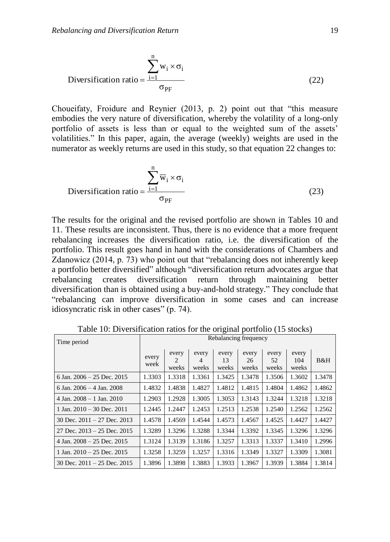$$
\text{Diversification ratio} = \frac{\sum_{i=1}^{n} w_i \times \sigma_i}{\sigma_{\text{PF}}} \tag{22}
$$

Choueifaty, Froidure and Reynier (2013, p. 2) point out that "this measure embodies the very nature of diversification, whereby the volatility of a long-only portfolio of assets is less than or equal to the weighted sum of the assets' volatilities." In this paper, again, the average (weekly) weights are used in the numerator as weekly returns are used in this study, so that equation 22 changes to:

$$
\text{Diversification ratio} = \frac{\sum_{i=1}^{n} \overline{w}_i \times \sigma_i}{\sigma_{\text{PF}}} \tag{23}
$$

The results for the original and the revised portfolio are shown in Tables 10 and 11. These results are inconsistent. Thus, there is no evidence that a more frequent rebalancing increases the diversification ratio, i.e. the diversification of the portfolio. This result goes hand in hand with the considerations of Chambers and Zdanowicz (2014, p. 73) who point out that "rebalancing does not inherently keep a portfolio better diversified" although "diversification return advocates argue that rebalancing creates diversification return through maintaining better diversification than is obtained using a buy-and-hold strategy." They conclude that "rebalancing can improve diversification in some cases and can increase idiosyncratic risk in other cases" (p. 74).

| Time period                     | Rebalancing frequency |                |                     |                      |                      |                      |                       |        |  |  |
|---------------------------------|-----------------------|----------------|---------------------|----------------------|----------------------|----------------------|-----------------------|--------|--|--|
|                                 | every<br>week         | every<br>weeks | every<br>4<br>weeks | every<br>13<br>weeks | every<br>26<br>weeks | every<br>52<br>weeks | every<br>104<br>weeks | B&H    |  |  |
| 6 Jan. $2006 - 25$ Dec. $2015$  | 1.3303                | 1.3318         | 1.3361              | 1.3425               | 1.3478               | 1.3506               | 1.3602                | 1.3478 |  |  |
| 6 Jan. $2006 - 4$ Jan. $2008$   | 1.4832                | 1.4838         | 1.4827              | 1.4812               | 1.4815               | 1.4804               | 1.4862                | 1.4862 |  |  |
| $4$ Jan. $2008 - 1$ Jan. $2010$ | 1.2903                | 1.2928         | 1.3005              | 1.3053               | 1.3143               | 1.3244               | 1.3218                | 1.3218 |  |  |
| 1 Jan. $2010 - 30$ Dec. $2011$  | 1.2445                | 1.2447         | 1.2453              | 1.2513               | 1.2538               | 1.2540               | 1.2562                | 1.2562 |  |  |
| 30 Dec. $2011 - 27$ Dec. $2013$ | 1.4578                | 1.4569         | 1.4544              | 1.4573               | 1.4567               | 1.4525               | 1.4427                | 1.4427 |  |  |
| 27 Dec. $2013 - 25$ Dec. $2015$ | 1.3289                | 1.3296         | 1.3288              | 1.3344               | 1.3392               | 1.3345               | 1.3296                | 1.3296 |  |  |
| 4 Jan. $2008 - 25$ Dec. $2015$  | 1.3124                | 1.3139         | 1.3186              | 1.3257               | 1.3313               | 1.3337               | 1.3410                | 1.2996 |  |  |
| 1 Jan. $2010 - 25$ Dec. $2015$  | 1.3258                | 1.3259         | 1.3257              | 1.3316               | 1.3349               | 1.3327               | 1.3309                | 1.3081 |  |  |
| 30 Dec. $2011 - 25$ Dec. $2015$ | 1.3896                | 1.3898         | 1.3883              | 1.3933               | 1.3967               | 1.3939               | 1.3884                | 1.3814 |  |  |

Table 10: Diversification ratios for the original portfolio (15 stocks)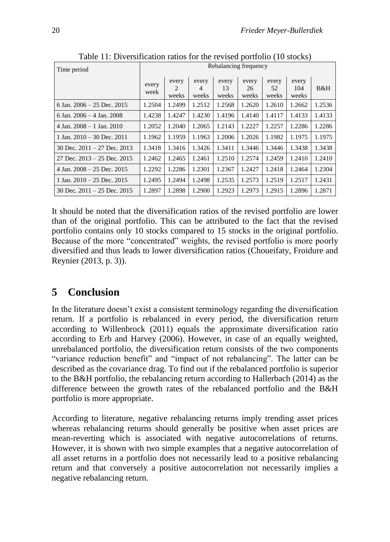| Time period                     | Rebalancing frequency |                                               |                     |                      |                      |                      |                       |        |  |  |  |
|---------------------------------|-----------------------|-----------------------------------------------|---------------------|----------------------|----------------------|----------------------|-----------------------|--------|--|--|--|
|                                 | every<br>week         | every<br>$\mathcal{D}_{\mathcal{L}}$<br>weeks | every<br>4<br>weeks | every<br>13<br>weeks | every<br>26<br>weeks | every<br>52<br>weeks | every<br>104<br>weeks | B&H    |  |  |  |
| 6 Jan. $2006 - 25$ Dec. $2015$  | 1.2504                | 1.2499                                        | 1.2512              | 1.2568               | 1.2620               | 1.2610               | 1.2662                | 1.2536 |  |  |  |
| 6 Jan. $2006 - 4$ Jan. $2008$   | 1.4238                | 1.4247                                        | 1.4230              | 1.4196               | 1.4140               | 1.4117               | 1.4133                | 1.4133 |  |  |  |
| 4 Jan. $2008 - 1$ Jan. $2010$   | 1.2052                | 1.2040                                        | 1.2065              | 1.2143               | 1.2227               | 1.2257               | 1.2286                | 1.2286 |  |  |  |
| 1 Jan. $2010 - 30$ Dec. $2011$  | 1.1962                | 1.1959                                        | 1.1963              | 1.2006               | 1.2026               | 1.1982               | 1.1975                | 1.1975 |  |  |  |
| 30 Dec. $2011 - 27$ Dec. $2013$ | 1.3418                | 1.3416                                        | 1.3426              | 1.3411               | 1.3446               | 1.3446               | 1.3438                | 1.3438 |  |  |  |
| 27 Dec. $2013 - 25$ Dec. $2015$ | 1.2462                | 1.2465                                        | 1.2461              | 1.2510               | 1.2574               | 1.2459               | 1.2410                | 1.2410 |  |  |  |
| 4 Jan. $2008 - 25$ Dec. $2015$  | 1.2292                | 1.2286                                        | 1.2301              | 1.2367               | 1.2427               | 1.2418               | 1.2464                | 1.2304 |  |  |  |
| 1 Jan. $2010 - 25$ Dec. $2015$  | 1.2495                | 1.2494                                        | 1.2498              | 1.2535               | 1.2573               | 1.2519               | 1.2517                | 1.2431 |  |  |  |
| 30 Dec. $2011 - 25$ Dec. $2015$ | 1.2897                | 1.2898                                        | 1.2900              | 1.2923               | 1.2973               | 1.2915               | 1.2896                | 1.2871 |  |  |  |

Table 11: Diversification ratios for the revised portfolio (10 stocks)

It should be noted that the diversification ratios of the revised portfolio are lower than of the original portfolio. This can be attributed to the fact that the revised portfolio contains only 10 stocks compared to 15 stocks in the original portfolio. Because of the more "concentrated" weights, the revised portfolio is more poorly diversified and thus leads to lower diversification ratios (Choueifaty, Froidure and Reynier (2013, p. 3)).

## **5 Conclusion**

In the literature doesn't exist a consistent terminology regarding the diversification return. If a portfolio is rebalanced in every period, the diversification return according to Willenbrock (2011) equals the approximate diversification ratio according to Erb and Harvey (2006). However, in case of an equally weighted, unrebalanced portfolio, the diversification return consists of the two components "variance reduction benefit" and "impact of not rebalancing". The latter can be described as the covariance drag. To find out if the rebalanced portfolio is superior to the B&H portfolio, the rebalancing return according to Hallerbach (2014) as the difference between the growth rates of the rebalanced portfolio and the B&H portfolio is more appropriate.

According to literature, negative rebalancing returns imply trending asset prices whereas rebalancing returns should generally be positive when asset prices are mean-reverting which is associated with negative autocorrelations of returns. However, it is shown with two simple examples that a negative autocorrelation of all asset returns in a portfolio does not necessarily lead to a positive rebalancing return and that conversely a positive autocorrelation not necessarily implies a negative rebalancing return.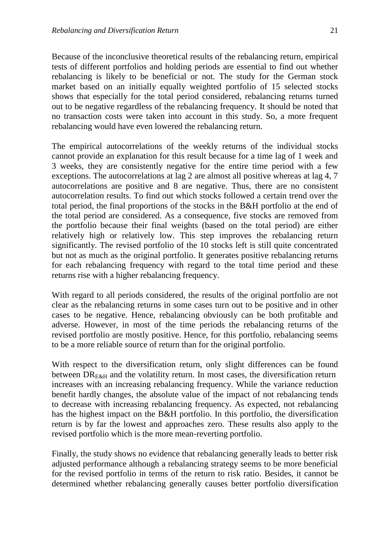Because of the inconclusive theoretical results of the rebalancing return, empirical tests of different portfolios and holding periods are essential to find out whether rebalancing is likely to be beneficial or not. The study for the German stock market based on an initially equally weighted portfolio of 15 selected stocks shows that especially for the total period considered, rebalancing returns turned out to be negative regardless of the rebalancing frequency. It should be noted that no transaction costs were taken into account in this study. So, a more frequent rebalancing would have even lowered the rebalancing return.

The empirical autocorrelations of the weekly returns of the individual stocks cannot provide an explanation for this result because for a time lag of 1 week and 3 weeks, they are consistently negative for the entire time period with a few exceptions. The autocorrelations at lag 2 are almost all positive whereas at lag 4, 7 autocorrelations are positive and 8 are negative. Thus, there are no consistent autocorrelation results. To find out which stocks followed a certain trend over the total period, the final proportions of the stocks in the B&H portfolio at the end of the total period are considered. As a consequence, five stocks are removed from the portfolio because their final weights (based on the total period) are either relatively high or relatively low. This step improves the rebalancing return significantly. The revised portfolio of the 10 stocks left is still quite concentrated but not as much as the original portfolio. It generates positive rebalancing returns for each rebalancing frequency with regard to the total time period and these returns rise with a higher rebalancing frequency.

With regard to all periods considered, the results of the original portfolio are not clear as the rebalancing returns in some cases turn out to be positive and in other cases to be negative. Hence, rebalancing obviously can be both profitable and adverse. However, in most of the time periods the rebalancing returns of the revised portfolio are mostly positive. Hence, for this portfolio, rebalancing seems to be a more reliable source of return than for the original portfolio.

With respect to the diversification return, only slight differences can be found between  $DR_{E\&H}$  and the volatility return. In most cases, the diversification return increases with an increasing rebalancing frequency. While the variance reduction benefit hardly changes, the absolute value of the impact of not rebalancing tends to decrease with increasing rebalancing frequency. As expected, not rebalancing has the highest impact on the B&H portfolio. In this portfolio, the diversification return is by far the lowest and approaches zero. These results also apply to the revised portfolio which is the more mean-reverting portfolio.

Finally, the study shows no evidence that rebalancing generally leads to better risk adjusted performance although a rebalancing strategy seems to be more beneficial for the revised portfolio in terms of the return to risk ratio. Besides, it cannot be determined whether rebalancing generally causes better portfolio diversification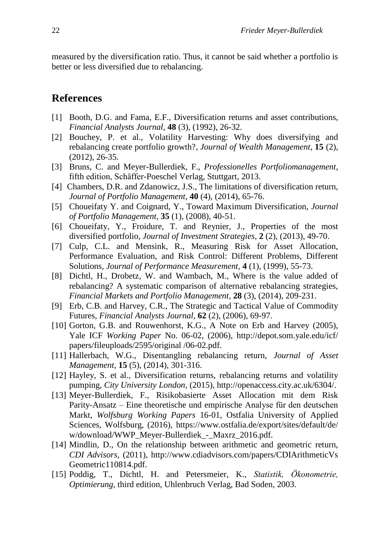measured by the diversification ratio. Thus, it cannot be said whether a portfolio is better or less diversified due to rebalancing.

#### **References**

- [1] Booth, D.G. and Fama, E.F., Diversification returns and asset contributions, *Financial Analysts Journal*, **48** (3), (1992), 26-32.
- [2] Bouchey, P. et al., Volatility Harvesting: Why does diversifying and rebalancing create portfolio growth?, *Journal of Wealth Management*, **15** (2), (2012), 26-35.
- [3] Bruns, C. and Meyer-Bullerdiek, F., *Professionelles Portfoliomanagement*, fifth edition, Schäffer-Poeschel Verlag, Stuttgart, 2013.
- [4] Chambers, D.R. and Zdanowicz, J.S., The limitations of diversification return, *Journal of Portfolio Management*, **40** (4), (2014), 65-76.
- [5] Choueifaty Y. and Coignard, Y., Toward Maximum Diversification, *Journal of Portfolio Management*, **35** (1), (2008), 40-51.
- [6] Choueifaty, Y., Froidure, T. and Reynier, J., Properties of the most diversified portfolio, *Journal of Investment Strategies*, **2** (2), (2013), 49-70.
- [7] Culp, C.L. and Mensink, R., Measuring Risk for Asset Allocation, Performance Evaluation, and Risk Control: Different Problems, Different Solutions, *Journal of Performance Measurement*, **4** (1), (1999), 55-73.
- [8] Dichtl, H., Drobetz, W. and Wambach, M., Where is the value added of rebalancing? A systematic comparison of alternative rebalancing strategies, *Financial Markets and Portfolio Management*, **28** (3), (2014), 209-231.
- [9] Erb, C.B. and Harvey, C.R., The Strategic and Tactical Value of Commodity Futures, *Financial Analysts Journal*, **62** (2), (2006), 69-97.
- [10] Gorton, G.B. and Rouwenhorst, K.G., A Note on Erb and Harvey (2005), Yale ICF *Working Paper* No. 06-02, (2006), http://depot.som.yale.edu/icf/ papers/fileuploads/2595/original /06-02.pdf.
- [11] Hallerbach, W.G., Disentangling rebalancing return, *Journal of Asset Management*, **15** (5), (2014), 301-316.
- [12] Hayley, S. et al., Diversification returns, rebalancing returns and volatility pumping, *City University London*, (2015), http://openaccess.city.ac.uk/6304/.
- [13] Meyer-Bullerdiek, F., Risikobasierte Asset Allocation mit dem Risk Parity-Ansatz – Eine theoretische und empirische Analyse für den deutschen Markt, *Wolfsburg Working Papers* 16-01, Ostfalia University of Applied Sciences, Wolfsburg, (2016), https://www.ostfalia.de/export/sites/default/de/ w/download/WWP\_Meyer-Bullerdiek\_-\_Maxrz\_2016.pdf.
- [14] Mindlin, D., On the relationship between arithmetic and geometric return, *CDI Advisors*, (2011), http://www.cdiadvisors.com/papers/CDIArithmeticVs Geometric110814.pdf.
- [15] Poddig, T., Dichtl, H. and Petersmeier, K., *Statistik, Ökonometrie, Optimierung*, third edition, Uhlenbruch Verlag, Bad Soden, 2003.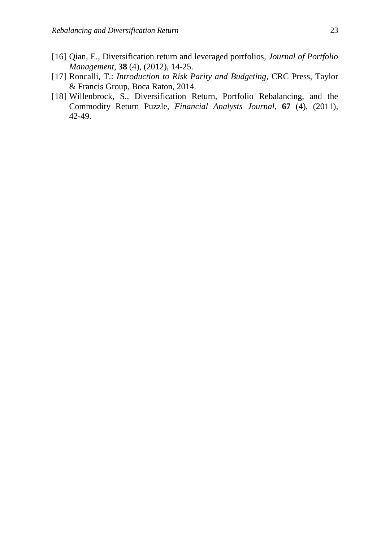- [16] Qian, E., Diversification return and leveraged portfolios, *Journal of Portfolio Management*, **38** (4), (2012), 14-25.
- [17] Roncalli, T.: *Introduction to Risk Parity and Budgeting*, CRC Press, Taylor & Francis Group, Boca Raton, 2014.
- [18] Willenbrock, S., Diversification Return, Portfolio Rebalancing, and the Commodity Return Puzzle, *Financial Analysts Journal*, **67** (4), (2011), 42-49.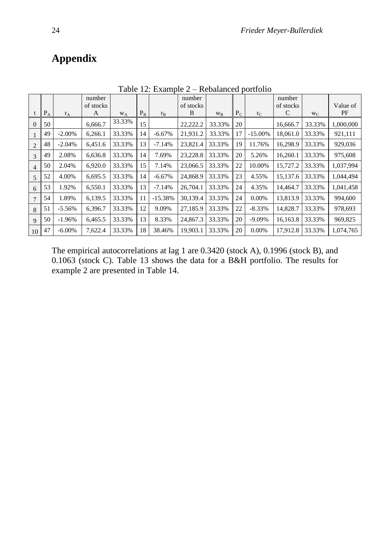## **Appendix**

|                |       |           | number<br>of stocks |                |       |           | number<br>of stocks |         |       |            | number<br>of stocks |         | Value of  |
|----------------|-------|-----------|---------------------|----------------|-------|-----------|---------------------|---------|-------|------------|---------------------|---------|-----------|
|                | $P_A$ | $r_A$     | A                   | W <sub>A</sub> | $P_B$ | $r_B$     | B                   | $W_{B}$ | $P_C$ | $r_{C}$    | C                   | $W_{C}$ | PF        |
| $\Omega$       | 50    |           | 6.666.7             | 33.33%         | 15    |           | 22,222.2            | 33.33%  | 20    |            | 16,666.7            | 33.33%  | 1,000,000 |
|                | 49    | $-2.00\%$ | 6,266.1             | 33.33%         | 14    | $-6.67\%$ | 21,931.2            | 33.33%  | 17    | $-15.00\%$ | 18,061.0            | 33.33%  | 921,111   |
| $\overline{2}$ | 48    | $-2.04%$  | 6,451.6             | 33.33%         | 13    | $-7.14%$  | 23,821.4            | 33.33%  | 19    | 11.76%     | 16,298.9            | 33.33%  | 929,036   |
| 3              | 49    | 2.08%     | 6,636.8             | 33.33%         | 14    | 7.69%     | 23,228.8            | 33.33%  | 20    | 5.26%      | 16,260.1            | 33.33%  | 975,608   |
| 4              | 50    | 2.04%     | 6,920.0             | 33.33%         | 15    | 7.14%     | 23,066.5            | 33.33%  | 22    | 10.00%     | 15,727.2            | 33.33%  | 1,037,994 |
| 5              | 52    | 4.00%     | 6,695.5             | 33.33%         | 14    | $-6.67\%$ | 24,868.9            | 33.33%  | 23    | 4.55%      | 15,137.6            | 33.33%  | 1.044.494 |
| 6              | 53    | 1.92%     | 6,550.1             | 33.33%         | 13    | $-7.14%$  | 26,704.1            | 33.33%  | 24    | 4.35%      | 14,464.7            | 33.33%  | 1,041,458 |
| $\overline{7}$ | 54    | 1.89%     | 6,139.5             | 33.33%         | 11    | $-15.38%$ | 30.139.4            | 33.33%  | 24    | $0.00\%$   | 13,813.9            | 33.33%  | 994,600   |
| 8              | 51    | $-5.56%$  | 6,396.7             | 33.33%         | 12    | 9.09%     | 27.185.9            | 33.33%  | 22    | $-8.33\%$  | 14,828.7            | 33.33%  | 978,693   |
| 9              | 50    | $-1.96%$  | 6,465.5             | 33.33%         | 13    | 8.33%     | 24,867.3            | 33.33%  | 20    | $-9.09%$   | 16,163.8            | 33.33%  | 969,825   |
| 10             | 47    | $-6.00\%$ | 7,622.4             | 33.33%         | 18    | 38.46%    | 19.903.1            | 33.33%  | 20    | $0.00\%$   | 17,912.8            | 33.33%  | 1,074,765 |

Table 12: Example 2 – Rebalanced portfolio

The empirical autocorrelations at lag 1 are 0.3420 (stock A), 0.1996 (stock B), and 0.1063 (stock C). Table 13 shows the data for a B&H portfolio. The results for example 2 are presented in Table 14.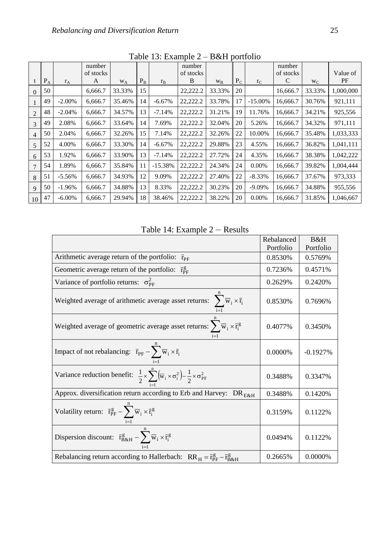|                |                         |           | number<br>of stocks |        |         |           | number<br>of stocks |         |       |            | number<br>of stocks |         | Value of  |
|----------------|-------------------------|-----------|---------------------|--------|---------|-----------|---------------------|---------|-------|------------|---------------------|---------|-----------|
|                | $\mathbf{P}_\mathrm{A}$ | $r_A$     | A                   | $W_A$  | $P_{B}$ | $r_{B}$   | B                   | $W_{B}$ | $P_C$ | $r_{C}$    | C                   | $W_{C}$ | PF        |
| $\Omega$       | 50                      |           | 6.666.7             | 33.33% | 15      |           | 22,222.2            | 33.33%  | 20    |            | 16,666.7            | 33.33%  | 1,000,000 |
|                | 49                      | $-2.00\%$ | 6,666.7             | 35.46% | 14      | $-6.67\%$ | 22,222.2            | 33.78%  | 17    | $-15.00\%$ | 16,666.7            | 30.76%  | 921,111   |
| $\overline{2}$ | 48                      | $-2.04%$  | 6,666.7             | 34.57% | 13      | $-7.14%$  | 22,222.2            | 31.21%  | 19    | 11.76%     | 16,666.7            | 34.21%  | 925,556   |
| 3              | 49                      | 2.08%     | 6,666.7             | 33.64% | 14      | 7.69%     | 22,222.2            | 32.04%  | 20    | 5.26%      | 16,666.7            | 34.32%  | 971,111   |
| $\overline{4}$ | 50                      | 2.04%     | 6,666.7             | 32.26% | 15      | 7.14%     | 22,222.2            | 32.26%  | 22    | 10.00%     | 16,666.7            | 35.48%  | 1,033,333 |
| 5              | 52                      | 4.00%     | 6.666.7             | 33.30% | 14      | $-6.67\%$ | 22,222.2            | 29.88%  | 23    | 4.55%      | 16,666.7            | 36.82%  | 1,041,111 |
| 6              | 53                      | 1.92%     | 6,666.7             | 33.90% | 13      | $-7.14%$  | 22,222.2            | 27.72%  | 24    | 4.35%      | 16,666.7            | 38.38%  | 1,042,222 |
| $\overline{7}$ | 54                      | 1.89%     | 6,666.7             | 35.84% | 11      | $-15.38%$ | 22,222.2            | 24.34%  | 24    | $0.00\%$   | 16,666.7            | 39.82%  | 1,004,444 |
| 8              | 51                      | $-5.56%$  | 6,666.7             | 34.93% | 12      | 9.09%     | 22,222.2            | 27.40%  | 22    | $-8.33\%$  | 16,666.7            | 37.67%  | 973,333   |
| $\mathbf{Q}$   | 50                      | $-1.96%$  | 6,666.7             | 34.88% | 13      | 8.33%     | 22,222.2            | 30.23%  | 20    | $-9.09%$   | 16,666.7            | 34.88%  | 955,556   |
| 10             | 47                      | $-6.00\%$ | 6,666.7             | 29.94% | 18      | 38.46%    | 22,222.2            | 38.22%  | 20    | $0.00\%$   | 16,666.7            | 31.85%  | 1.046.667 |

Table 13: Example 2 – B&H portfolio

Table 14: Example 2 – Results

|                                                                                                                                       | Rebalanced | B&H        |
|---------------------------------------------------------------------------------------------------------------------------------------|------------|------------|
|                                                                                                                                       | Portfolio  | Portfolio  |
| Arithmetic average return of the portfolio: $\bar{r}_{\text{PF}}$                                                                     | 0.8530%    | 0.5769%    |
| Geometric average return of the portfolio: $\bar{r}_{\rm PF}^{\rm g}$                                                                 | 0.7236%    | 0.4571%    |
| Variance of portfolio returns: $\sigma_{\text{PE}}^2$                                                                                 | 0.2629%    | 0.2420%    |
| Weighted average of arithmetic average asset returns: $\sum \overline{w}_i \times \overline{r}_i$                                     | 0.8530%    | 0.7696%    |
| Weighted average of geometric average asset returns: $\sum_i \overline{w}_i \times \overline{r}_i^g$                                  | 0.4077%    | 0.3450%    |
| Impact of not rebalancing: $\bar{r}_{PF} - \sum \overline{w}_i \times \bar{r}_i$                                                      | 0.0000%    | $-0.1927%$ |
| Variance reduction benefit: $\frac{1}{2} \times \sum_{i=1}^{n} (\overline{w}_i \times \sigma_i^2) - \frac{1}{2} \times \sigma_{PF}^2$ | 0.3488%    | 0.3347%    |
| Approx. diversification return according to Erb and Harvey: DR <sub>E&amp;H</sub>                                                     | 0.3488%    | 0.1420\%   |
| Volatility return: $\bar{r}_{PF}^g - \sum_{i}^{\infty} \bar{w}_i \times \bar{r}_i^g$                                                  | 0.3159%    | 0.1122%    |
| Dispersion discount: $\bar{r}_{B\&H}^g - \sum_{i=1}^{n} \bar{w}_i \times \bar{r}_i^g$                                                 | 0.0494%    | 0.1122%    |
| Rebalancing return according to Hallerbach: $RR_H = \bar{r}_{PF}^g - \bar{r}_{B\&H}^g$                                                | 0.2665%    | 0.0000%    |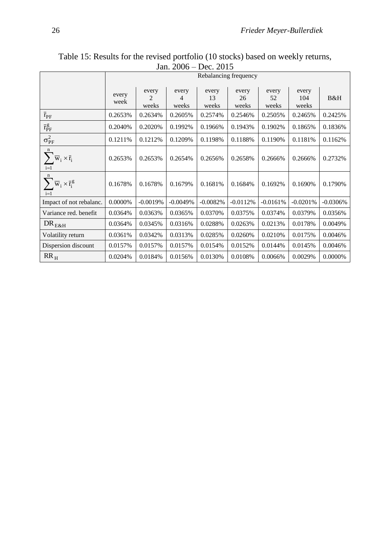|                                                                  | Rebalancing frequency |                     |                     |                      |                      |                      |                       |            |
|------------------------------------------------------------------|-----------------------|---------------------|---------------------|----------------------|----------------------|----------------------|-----------------------|------------|
|                                                                  | every<br>week         | every<br>2<br>weeks | every<br>4<br>weeks | every<br>13<br>weeks | every<br>26<br>weeks | every<br>52<br>weeks | every<br>104<br>weeks | B&H        |
| $\bar{r}_{\text{PF}}$                                            | 0.2653%               | 0.2634%             | 0.2605%             | 0.2574%              | 0.2546%              | 0.2505%              | 0.2465%               | 0.2425%    |
| $\bar{r}_{\text{PF}}^g$                                          | 0.2040%               | 0.2020%             | 0.1992%             | 0.1966%              | 0.1943%              | 0.1902%              | 0.1865%               | 0.1836%    |
| $\sigma_{PF}^2$                                                  | 0.1211%               | 0.1212\%            | 0.1209%             | 0.1198%              | 0.1188%              | 0.1190%              | 0.1181\%              | 0.1162%    |
| $\mathbf n$<br>$\overline{w}_i \times \overline{r}_i$<br>$i=1$   | 0.2653%               | 0.2653%             | 0.2654%             | 0.2656%              | 0.2658%              | 0.2666%              | 0.2666%               | 0.2732%    |
| $\mathbf n$<br>$\overline{w}_i \times \overline{r}_i^g$<br>$i=1$ | 0.1678%               | 0.1678%             | 0.1679%             | 0.1681%              | 0.1684%              | 0.1692%              | 0.1690%               | 0.1790%    |
| Impact of not rebalanc.                                          | $0.0000\%$            | $-0.0019%$          | $-0.0049%$          | $-0.0082%$           | $-0.0112%$           | $-0.0161%$           | $-0.0201%$            | $-0.0306%$ |
| Variance red. benefit                                            | 0.0364%               | 0.0363%             | 0.0365%             | 0.0370%              | 0.0375%              | 0.0374%              | 0.0379%               | 0.0356%    |
| $\rm{DR}_{E\&H}$                                                 | 0.0364%               | 0.0345%             | 0.0316%             | 0.0288%              | 0.0263%              | 0.0213%              | 0.0178%               | 0.0049%    |
| Volatility return                                                | 0.0361%               | 0.0342%             | 0.0313%             | 0.0285%              | 0.0260%              | 0.0210%              | 0.0175%               | 0.0046%    |
| Dispersion discount                                              | 0.0157%               | 0.0157%             | 0.0157%             | 0.0154%              | 0.0152%              | 0.0144%              | 0.0145%               | 0.0046%    |
| $RR_{H}$                                                         | 0.0204%               | 0.0184%             | 0.0156%             | 0.0130%              | 0.0108%              | 0.0066%              | 0.0029%               | 0.0000%    |

Table 15: Results for the revised portfolio (10 stocks) based on weekly returns, Jan. 2006 – Dec. 2015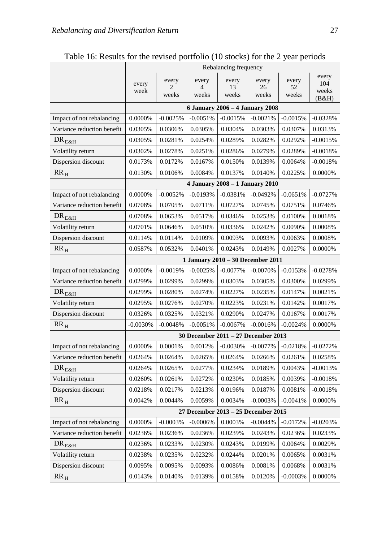|                            | Rebalancing frequency               |                                  |                     |                                 |                      |                      |                                |  |  |
|----------------------------|-------------------------------------|----------------------------------|---------------------|---------------------------------|----------------------|----------------------|--------------------------------|--|--|
|                            | every<br>week                       | every<br>$\overline{c}$<br>weeks | every<br>4<br>weeks | every<br>13<br>weeks            | every<br>26<br>weeks | every<br>52<br>weeks | every<br>104<br>weeks<br>(B&H) |  |  |
|                            | 6 January 2006 - 4 January 2008     |                                  |                     |                                 |                      |                      |                                |  |  |
| Impact of not rebalancing  | $0.0000\%$                          | $-0.0025%$                       | $-0.0051%$          | $-0.0015%$                      | $-0.0021%$           | $-0.0015%$           | $-0.0328%$                     |  |  |
| Variance reduction benefit | 0.0305%                             | $0.0306\%$                       | 0.0305%             | 0.0304%                         | 0.0303%              | 0.0307%              | 0.0313%                        |  |  |
| $DR_{E&H}$                 | 0.0305%                             | 0.0281%                          | 0.0254%             | 0.0289%                         | 0.0282%              | 0.0292%              | $-0.0015%$                     |  |  |
| Volatility return          | 0.0302%                             | 0.0278%                          | 0.0251%             | 0.0286%                         | 0.0279%              | 0.0289%              | $-0.0018%$                     |  |  |
| Dispersion discount        | 0.0173%                             | 0.0172%                          | 0.0167%             | 0.0150%                         | 0.0139%              | 0.0064%              | $-0.0018%$                     |  |  |
| $RR_{H}$                   | 0.0130%                             | 0.0106%                          | 0.0084%             | 0.0137%                         | 0.0140%              | 0.0225%              | 0.0000%                        |  |  |
|                            |                                     |                                  |                     | 4 January 2008 - 1 January 2010 |                      |                      |                                |  |  |
| Impact of not rebalancing  | 0.0000%                             | $-0.0052%$                       | $-0.0193%$          | $-0.0381%$                      | $-0.0492%$           | $-0.0651%$           | $-0.0727%$                     |  |  |
| Variance reduction benefit | 0.0708%                             | 0.0705%                          | 0.0711%             | 0.0727%                         | 0.0745%              | 0.0751%              | 0.0746%                        |  |  |
| $DR_{E&H}$                 | 0.0708%                             | 0.0653%                          | 0.0517%             | 0.0346%                         | 0.0253%              | 0.0100%              | 0.0018%                        |  |  |
| Volatility return          | 0.0701%                             | 0.0646%                          | 0.0510%             | 0.0336%                         | 0.0242%              | 0.0090%              | 0.0008%                        |  |  |
| Dispersion discount        | 0.0114%                             | 0.0114%                          | 0.0109%             | 0.0093%                         | 0.0093%              | 0.0063%              | 0.0008%                        |  |  |
| $RR_{H}$                   | 0.0587%                             | 0.0532%                          | 0.0401%             | 0.0243%                         | 0.0149%              | 0.0027%              | 0.0000%                        |  |  |
|                            | 1 January 2010 - 30 December 2011   |                                  |                     |                                 |                      |                      |                                |  |  |
| Impact of not rebalancing  | 0.0000%                             | $-0.0019%$                       | $-0.0025%$          | $-0.0077%$                      | $-0.0070\%$          | $-0.0153%$           | $-0.0278%$                     |  |  |
| Variance reduction benefit | 0.0299%                             | 0.0299%                          | 0.0299%             | 0.0303%                         | 0.0305%              | 0.0300%              | 0.0299%                        |  |  |
| $DR_{E&H}$                 | 0.0299%                             | 0.0280%                          | 0.0274%             | 0.0227%                         | 0.0235%              | 0.0147%              | 0.0021%                        |  |  |
| Volatility return          | 0.0295%                             | 0.0276%                          | 0.0270%             | 0.0223%                         | 0.0231%              | 0.0142%              | 0.0017%                        |  |  |
| Dispersion discount        | 0.0326%                             | 0.0325%                          | 0.0321%             | 0.0290%                         | 0.0247%              | 0.0167%              | 0.0017%                        |  |  |
| $RR_{H}$                   | $-0.0030%$                          | $-0.0048%$                       | $-0.0051%$          | $-0.0067\%$                     | $-0.0016%$           | $-0.0024%$           | 0.0000%                        |  |  |
|                            | 30 December 2011 - 27 December 2013 |                                  |                     |                                 |                      |                      |                                |  |  |
| Impact of not rebalancing  | 0.0000%                             | 0.0001%                          | 0.0012%             | $-0.0030%$                      | $-0.0077%$           | $-0.0218%$           | $-0.0272%$                     |  |  |
| Variance reduction benefit | 0.0264%                             | 0.0264%                          | 0.0265%             | 0.0264%                         | 0.0266%              | 0.0261%              | 0.0258%                        |  |  |
| $DR_{E&H}$                 | 0.0264%                             | 0.0265%                          | 0.0277%             | 0.0234%                         | 0.0189%              | 0.0043%              | $-0.0013%$                     |  |  |
| Volatility return          | 0.0260%                             | 0.0261%                          | 0.0272%             | 0.0230%                         | 0.0185%              | 0.0039%              | $-0.0018%$                     |  |  |
| Dispersion discount        | 0.0218%                             | 0.0217%                          | 0.0213%             | 0.0196%                         | 0.0187%              | 0.0081%              | $-0.0018%$                     |  |  |
| $RR_H$                     | 0.0042%                             | 0.0044%                          | 0.0059%             | 0.0034%                         | $-0.0003%$           | $-0.0041%$           | 0.0000%                        |  |  |
|                            | 27 December 2013 - 25 December 2015 |                                  |                     |                                 |                      |                      |                                |  |  |
| Impact of not rebalancing  | 0.0000%                             | $-0.0003%$                       | $-0.0006%$          | 0.0003%                         | $-0.0044%$           | $-0.0172%$           | $-0.0203%$                     |  |  |
| Variance reduction benefit | 0.0236%                             | 0.0236%                          | 0.0236%             | 0.0239%                         | 0.0243%              | 0.0236%              | 0.0233%                        |  |  |
| $DR_{E&H}$                 | 0.0236%                             | 0.0233%                          | 0.0230%             | 0.0243%                         | 0.0199%              | 0.0064%              | 0.0029%                        |  |  |
| Volatility return          | 0.0238%                             | 0.0235%                          | 0.0232%             | 0.0244%                         | 0.0201%              | 0.0065%              | 0.0031%                        |  |  |
| Dispersion discount        | 0.0095%                             | 0.0095%                          | 0.0093%             | 0.0086%                         | 0.0081%              | 0.0068%              | 0.0031%                        |  |  |
| $\rm RR_{\rm H}$           | 0.0143%                             | 0.0140%                          | 0.0139%             | 0.0158%                         | 0.0120%              | $-0.0003%$           | 0.0000%                        |  |  |

Table 16: Results for the revised portfolio (10 stocks) for the 2 year periods